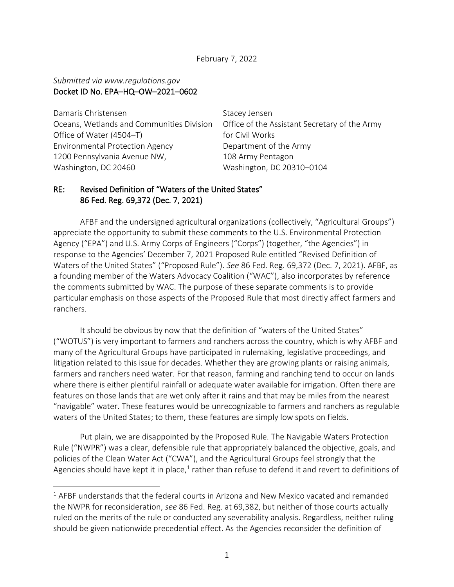February 7, 2022

#### *Submitted via www.regulations.gov*  Docket ID No. EPA–HQ–OW–2021–0602

Damaris Christensen Oceans, Wetlands and Communities Division Office of Water (4504–T) Environmental Protection Agency 1200 Pennsylvania Avenue NW, Washington, DC 20460

Stacey Jensen Office of the Assistant Secretary of the Army for Civil Works Department of the Army 108 Army Pentagon Washington, DC 20310–0104

## RE: Revised Definition of "Waters of the United States" 86 Fed. Reg. 69,372 (Dec. 7, 2021)

AFBF and the undersigned agricultural organizations (collectively, "Agricultural Groups") appreciate the opportunity to submit these comments to the U.S. Environmental Protection Agency ("EPA") and U.S. Army Corps of Engineers ("Corps") (together, "the Agencies") in response to the Agencies' December 7, 2021 Proposed Rule entitled "Revised Definition of Waters of the United States" ("Proposed Rule"). *See* 86 Fed. Reg. 69,372 (Dec. 7, 2021). AFBF, as a founding member of the Waters Advocacy Coalition ("WAC"), also incorporates by reference the comments submitted by WAC. The purpose of these separate comments is to provide particular emphasis on those aspects of the Proposed Rule that most directly affect farmers and ranchers.

It should be obvious by now that the definition of "waters of the United States" ("WOTUS") is very important to farmers and ranchers across the country, which is why AFBF and many of the Agricultural Groups have participated in rulemaking, legislative proceedings, and litigation related to this issue for decades. Whether they are growing plants or raising animals, farmers and ranchers need water. For that reason, farming and ranching tend to occur on lands where there is either plentiful rainfall or adequate water available for irrigation. Often there are features on those lands that are wet only after it rains and that may be miles from the nearest "navigable" water. These features would be unrecognizable to farmers and ranchers as regulable waters of the United States; to them, these features are simply low spots on fields.

Put plain, we are disappointed by the Proposed Rule. The Navigable Waters Protection Rule ("NWPR") was a clear, defensible rule that appropriately balanced the objective, goals, and policies of the Clean Water Act ("CWA"), and the Agricultural Groups feel strongly that the Agencies should have kept it in place,<sup>1</sup> rather than refuse to defend it and revert to definitions of

 $1$  AFBF understands that the federal courts in Arizona and New Mexico vacated and remanded the NWPR for reconsideration, *see* 86 Fed. Reg. at 69,382, but neither of those courts actually ruled on the merits of the rule or conducted any severability analysis. Regardless, neither ruling should be given nationwide precedential effect. As the Agencies reconsider the definition of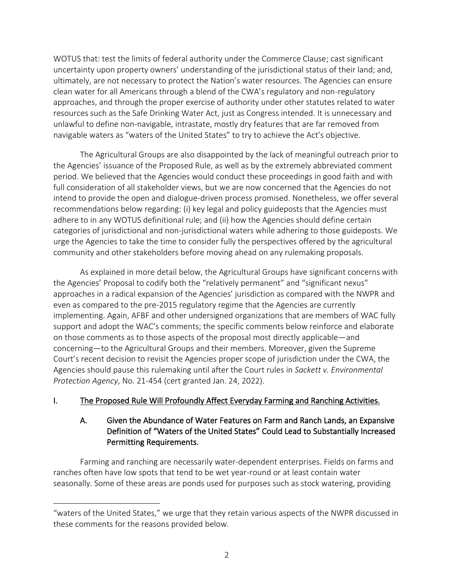WOTUS that: test the limits of federal authority under the Commerce Clause; cast significant uncertainty upon property owners' understanding of the jurisdictional status of their land; and, ultimately, are not necessary to protect the Nation's water resources. The Agencies can ensure clean water for all Americans through a blend of the CWA's regulatory and non-regulatory approaches, and through the proper exercise of authority under other statutes related to water resources such as the Safe Drinking Water Act, just as Congress intended. It is unnecessary and unlawful to define non-navigable, intrastate, mostly dry features that are far removed from navigable waters as "waters of the United States" to try to achieve the Act's objective.

The Agricultural Groups are also disappointed by the lack of meaningful outreach prior to the Agencies' issuance of the Proposed Rule, as well as by the extremely abbreviated comment period. We believed that the Agencies would conduct these proceedings in good faith and with full consideration of all stakeholder views, but we are now concerned that the Agencies do not intend to provide the open and dialogue-driven process promised. Nonetheless, we offer several recommendations below regarding: (i) key legal and policy guideposts that the Agencies must adhere to in any WOTUS definitional rule; and (ii) how the Agencies should define certain categories of jurisdictional and non-jurisdictional waters while adhering to those guideposts. We urge the Agencies to take the time to consider fully the perspectives offered by the agricultural community and other stakeholders before moving ahead on any rulemaking proposals.

As explained in more detail below, the Agricultural Groups have significant concerns with the Agencies' Proposal to codify both the "relatively permanent" and "significant nexus" approaches in a radical expansion of the Agencies' jurisdiction as compared with the NWPR and even as compared to the pre-2015 regulatory regime that the Agencies are currently implementing. Again, AFBF and other undersigned organizations that are members of WAC fully support and adopt the WAC's comments; the specific comments below reinforce and elaborate on those comments as to those aspects of the proposal most directly applicable—and concerning—to the Agricultural Groups and their members. Moreover, given the Supreme Court's recent decision to revisit the Agencies proper scope of jurisdiction under the CWA, the Agencies should pause this rulemaking until after the Court rules in *Sackett v. Environmental Protection Agency*, No. 21-454 (cert granted Jan. 24, 2022).

# I. The Proposed Rule Will Profoundly Affect Everyday Farming and Ranching Activities.

# A. Given the Abundance of Water Features on Farm and Ranch Lands, an Expansive Definition of "Waters of the United States" Could Lead to Substantially Increased Permitting Requirements.

Farming and ranching are necessarily water-dependent enterprises. Fields on farms and ranches often have low spots that tend to be wet year-round or at least contain water seasonally. Some of these areas are ponds used for purposes such as stock watering, providing

<sup>&</sup>quot;waters of the United States," we urge that they retain various aspects of the NWPR discussed in these comments for the reasons provided below.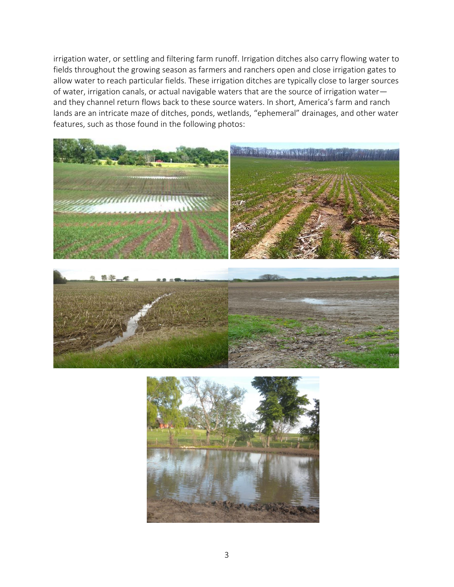irrigation water, or settling and filtering farm runoff. Irrigation ditches also carry flowing water to fields throughout the growing season as farmers and ranchers open and close irrigation gates to allow water to reach particular fields. These irrigation ditches are typically close to larger sources of water, irrigation canals, or actual navigable waters that are the source of irrigation water and they channel return flows back to these source waters. In short, America's farm and ranch lands are an intricate maze of ditches, ponds, wetlands, "ephemeral" drainages, and other water features, such as those found in the following photos:



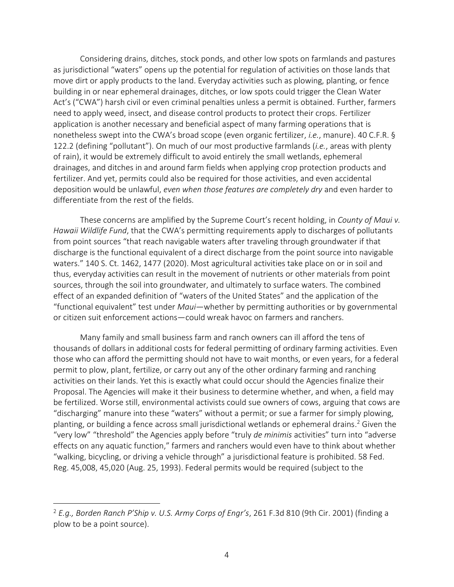Considering drains, ditches, stock ponds, and other low spots on farmlands and pastures as jurisdictional "waters" opens up the potential for regulation of activities on those lands that move dirt or apply products to the land. Everyday activities such as plowing, planting, or fence building in or near ephemeral drainages, ditches, or low spots could trigger the Clean Water Act's ("CWA") harsh civil or even criminal penalties unless a permit is obtained. Further, farmers need to apply weed, insect, and disease control products to protect their crops. Fertilizer application is another necessary and beneficial aspect of many farming operations that is nonetheless swept into the CWA's broad scope (even organic fertilizer, *i.e.*, manure). 40 C.F.R. § 122.2 (defining "pollutant"). On much of our most productive farmlands (*i.e.*, areas with plenty of rain), it would be extremely difficult to avoid entirely the small wetlands, ephemeral drainages, and ditches in and around farm fields when applying crop protection products and fertilizer. And yet, permits could also be required for those activities, and even accidental deposition would be unlawful, *even when those features are completely dry* and even harder to differentiate from the rest of the fields.

These concerns are amplified by the Supreme Court's recent holding, in *County of Maui v. Hawaii Wildlife Fund*, that the CWA's permitting requirements apply to discharges of pollutants from point sources "that reach navigable waters after traveling through groundwater if that discharge is the functional equivalent of a direct discharge from the point source into navigable waters." 140 S. Ct. 1462, 1477 (2020). Most agricultural activities take place on or in soil and thus, everyday activities can result in the movement of nutrients or other materials from point sources, through the soil into groundwater, and ultimately to surface waters. The combined effect of an expanded definition of "waters of the United States" and the application of the "functional equivalent" test under *Maui*―whether by permitting authorities or by governmental or citizen suit enforcement actions―could wreak havoc on farmers and ranchers.

Many family and small business farm and ranch owners can ill afford the tens of thousands of dollars in additional costs for federal permitting of ordinary farming activities. Even those who can afford the permitting should not have to wait months, or even years, for a federal permit to plow, plant, fertilize, or carry out any of the other ordinary farming and ranching activities on their lands. Yet this is exactly what could occur should the Agencies finalize their Proposal. The Agencies will make it their business to determine whether, and when, a field may be fertilized. Worse still, environmental activists could sue owners of cows, arguing that cows are "discharging" manure into these "waters" without a permit; or sue a farmer for simply plowing, planting, or building a fence across small jurisdictional wetlands or ephemeral drains. <sup>2</sup> Given the "very low" "threshold" the Agencies apply before "truly *de minimis* activities" turn into "adverse effects on any aquatic function," farmers and ranchers would even have to think about whether "walking, bicycling, or driving a vehicle through" a jurisdictional feature is prohibited. 58 Fed. Reg. 45,008, 45,020 (Aug. 25, 1993). Federal permits would be required (subject to the

<sup>2</sup> *E.g., Borden Ranch P'Ship v. U.S. Army Corps of Engr's*, 261 F.3d 810 (9th Cir. 2001) (finding a plow to be a point source).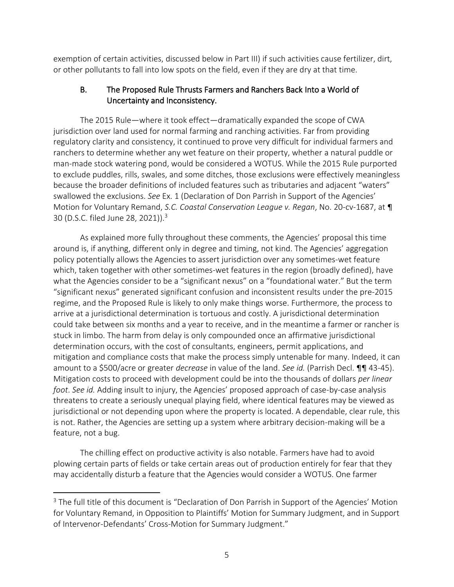exemption of certain activities, discussed below in Part III) if such activities cause fertilizer, dirt, or other pollutants to fall into low spots on the field, even if they are dry at that time.

## B. The Proposed Rule Thrusts Farmers and Ranchers Back Into a World of Uncertainty and Inconsistency.

The 2015 Rule—where it took effect—dramatically expanded the scope of CWA jurisdiction over land used for normal farming and ranching activities. Far from providing regulatory clarity and consistency, it continued to prove very difficult for individual farmers and ranchers to determine whether any wet feature on their property, whether a natural puddle or man-made stock watering pond, would be considered a WOTUS. While the 2015 Rule purported to exclude puddles, rills, swales, and some ditches, those exclusions were effectively meaningless because the broader definitions of included features such as tributaries and adjacent "waters" swallowed the exclusions. *See* Ex. 1 (Declaration of Don Parrish in Support of the Agencies' Motion for Voluntary Remand, *S.C. Coastal Conservation League v. Regan*, No. 20-cv-1687, at ¶ 30 (D.S.C. filed June 28, 2021)).<sup>3</sup>

As explained more fully throughout these comments, the Agencies' proposal this time around is, if anything, different only in degree and timing, not kind. The Agencies' aggregation policy potentially allows the Agencies to assert jurisdiction over any sometimes-wet feature which, taken together with other sometimes-wet features in the region (broadly defined), have what the Agencies consider to be a "significant nexus" on a "foundational water." But the term "significant nexus" generated significant confusion and inconsistent results under the pre-2015 regime, and the Proposed Rule is likely to only make things worse. Furthermore, the process to arrive at a jurisdictional determination is tortuous and costly. A jurisdictional determination could take between six months and a year to receive, and in the meantime a farmer or rancher is stuck in limbo. The harm from delay is only compounded once an affirmative jurisdictional determination occurs, with the cost of consultants, engineers, permit applications, and mitigation and compliance costs that make the process simply untenable for many. Indeed, it can amount to a \$500/acre or greater *decrease* in value of the land. *See id.* (Parrish Decl. ¶¶ 43-45). Mitigation costs to proceed with development could be into the thousands of dollars *per linear foot*. *See id.* Adding insult to injury, the Agencies' proposed approach of case-by-case analysis threatens to create a seriously unequal playing field, where identical features may be viewed as jurisdictional or not depending upon where the property is located. A dependable, clear rule, this is not. Rather, the Agencies are setting up a system where arbitrary decision-making will be a feature, not a bug.

The chilling effect on productive activity is also notable. Farmers have had to avoid plowing certain parts of fields or take certain areas out of production entirely for fear that they may accidentally disturb a feature that the Agencies would consider a WOTUS. One farmer

<sup>&</sup>lt;sup>3</sup> The full title of this document is "Declaration of Don Parrish in Support of the Agencies' Motion for Voluntary Remand, in Opposition to Plaintiffs' Motion for Summary Judgment, and in Support of Intervenor-Defendants' Cross-Motion for Summary Judgment."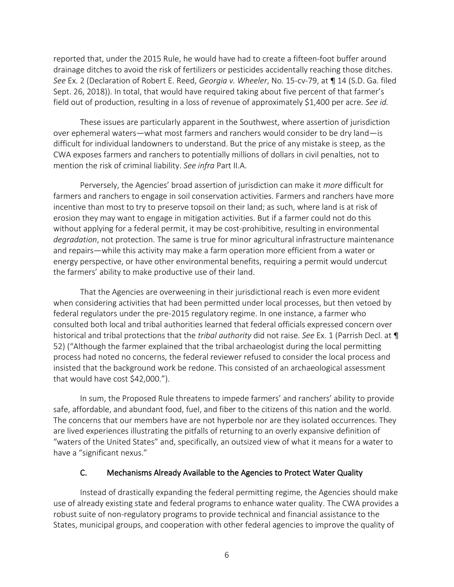reported that, under the 2015 Rule, he would have had to create a fifteen-foot buffer around drainage ditches to avoid the risk of fertilizers or pesticides accidentally reaching those ditches. *See* Ex. 2 (Declaration of Robert E. Reed, *Georgia v. Wheeler*, No. 15-cv-79, at ¶ 14 (S.D. Ga. filed Sept. 26, 2018)). In total, that would have required taking about five percent of that farmer's field out of production, resulting in a loss of revenue of approximately \$1,400 per acre. *See id.*

These issues are particularly apparent in the Southwest, where assertion of jurisdiction over ephemeral waters—what most farmers and ranchers would consider to be dry land—is difficult for individual landowners to understand. But the price of any mistake is steep, as the CWA exposes farmers and ranchers to potentially millions of dollars in civil penalties, not to mention the risk of criminal liability. *See infra* Part II.A.

Perversely, the Agencies' broad assertion of jurisdiction can make it *more* difficult for farmers and ranchers to engage in soil conservation activities. Farmers and ranchers have more incentive than most to try to preserve topsoil on their land; as such, where land is at risk of erosion they may want to engage in mitigation activities. But if a farmer could not do this without applying for a federal permit, it may be cost-prohibitive, resulting in environmental *degradation*, not protection. The same is true for minor agricultural infrastructure maintenance and repairs—while this activity may make a farm operation more efficient from a water or energy perspective, or have other environmental benefits, requiring a permit would undercut the farmers' ability to make productive use of their land.

That the Agencies are overweening in their jurisdictional reach is even more evident when considering activities that had been permitted under local processes, but then vetoed by federal regulators under the pre-2015 regulatory regime. In one instance, a farmer who consulted both local and tribal authorities learned that federal officials expressed concern over historical and tribal protections that the *tribal authority* did not raise. *See* Ex. 1 (Parrish Decl. at ¶ 52) ("Although the farmer explained that the tribal archaeologist during the local permitting process had noted no concerns, the federal reviewer refused to consider the local process and insisted that the background work be redone. This consisted of an archaeological assessment that would have cost \$42,000.").

In sum, the Proposed Rule threatens to impede farmers' and ranchers' ability to provide safe, affordable, and abundant food, fuel, and fiber to the citizens of this nation and the world. The concerns that our members have are not hyperbole nor are they isolated occurrences. They are lived experiences illustrating the pitfalls of returning to an overly expansive definition of "waters of the United States" and, specifically, an outsized view of what it means for a water to have a "significant nexus."

### C. Mechanisms Already Available to the Agencies to Protect Water Quality

Instead of drastically expanding the federal permitting regime, the Agencies should make use of already existing state and federal programs to enhance water quality. The CWA provides a robust suite of non-regulatory programs to provide technical and financial assistance to the States, municipal groups, and cooperation with other federal agencies to improve the quality of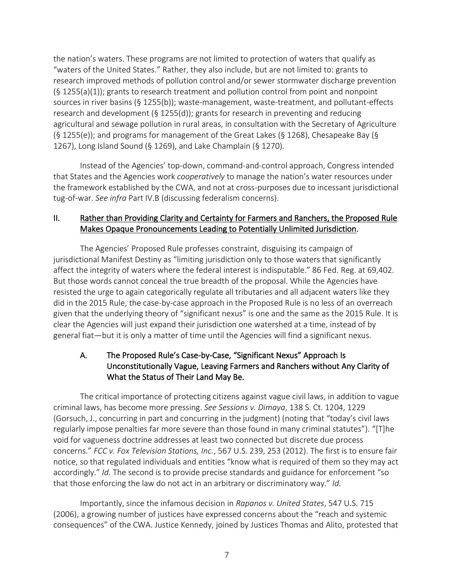the nation's waters. These programs are not limited to protection of waters that qualify as "waters of the United States." Rather, they also include, but are not limited to: grants to research improved methods of pollution control and/or sewer stormwater discharge prevention  $(S_1255(a)(1))$ ; grants to research treatment and pollution control from point and nonpoint sources in river basins (§ 1255(b)); waste-management, waste-treatment, and pollutant-effects research and development (§ 1255(d)); grants for research in preventing and reducing agricultural and sewage pollution in rural areas, in consultation with the Secretary of Agriculture (§ 1255(e)); and programs for management of the Great Lakes (§ 1268), Chesapeake Bay (§ 1267), Long Island Sound (§ 1269), and Lake Champlain (§ 1270).

Instead of the Agencies' top-down, command-and-control approach, Congress intended that States and the Agencies work *cooperatively* to manage the nation's water resources under the framework established by the CWA, and not at cross-purposes due to incessant jurisdictional tug-of-war. *See infra* Part IV.B (discussing federalism concerns).

## II. Rather than Providing Clarity and Certainty for Farmers and Ranchers, the Proposed Rule Makes Opaque Pronouncements Leading to Potentially Unlimited Jurisdiction.

The Agencies' Proposed Rule professes constraint, disguising its campaign of jurisdictional Manifest Destiny as "limiting jurisdiction only to those waters that significantly affect the integrity of waters where the federal interest is indisputable." 86 Fed. Reg. at 69,402. But those words cannot conceal the true breadth of the proposal. While the Agencies have resisted the urge to again categorically regulate all tributaries and all adjacent waters like they did in the 2015 Rule, the case-by-case approach in the Proposed Rule is no less of an overreach given that the underlying theory of "significant nexus" is one and the same as the 2015 Rule. It is clear the Agencies will just expand their jurisdiction one watershed at a time, instead of by general fiat—but it is only a matter of time until the Agencies will find a significant nexus.

# A. The Proposed Rule's Case-by-Case, "Significant Nexus" Approach Is Unconstitutionally Vague, Leaving Farmers and Ranchers without Any Clarity of What the Status of Their Land May Be.

The critical importance of protecting citizens against vague civil laws, in addition to vague criminal laws, has become more pressing. *See Sessions v. Dimaya*, 138 S. Ct. 1204, 1229 (Gorsuch, J., concurring in part and concurring in the judgment) (noting that "today's civil laws regularly impose penalties far more severe than those found in many criminal statutes"). "[T]he void for vagueness doctrine addresses at least two connected but discrete due process concerns." *FCC v. Fox Television Stations, Inc.*, 567 U.S. 239, 253 (2012). The first is to ensure fair notice, so that regulated individuals and entities "know what is required of them so they may act accordingly." *Id.* The second is to provide precise standards and guidance for enforcement "so that those enforcing the law do not act in an arbitrary or discriminatory way." *Id.*

Importantly, since the infamous decision in *Rapanos v. United States*, 547 U.S. 715 (2006), a growing number of justices have expressed concerns about the "reach and systemic consequences" of the CWA. Justice Kennedy, joined by Justices Thomas and Alito, protested that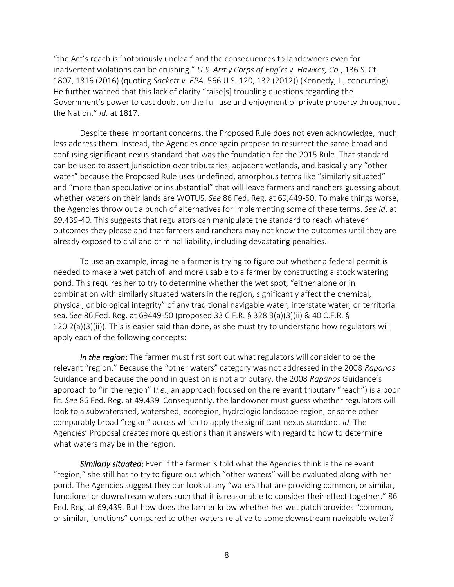"the Act's reach is 'notoriously unclear' and the consequences to landowners even for inadvertent violations can be crushing." *U.S. Army Corps of Eng'rs v. Hawkes, Co.*, 136 S. Ct. 1807, 1816 (2016) (quoting *Sackett v. EPA*. 566 U.S. 120, 132 (2012)) (Kennedy, J., concurring). He further warned that this lack of clarity "raise[s] troubling questions regarding the Government's power to cast doubt on the full use and enjoyment of private property throughout the Nation." *Id.* at 1817.

Despite these important concerns, the Proposed Rule does not even acknowledge, much less address them. Instead, the Agencies once again propose to resurrect the same broad and confusing significant nexus standard that was the foundation for the 2015 Rule. That standard can be used to assert jurisdiction over tributaries, adjacent wetlands, and basically any "other water" because the Proposed Rule uses undefined, amorphous terms like "similarly situated" and "more than speculative or insubstantial" that will leave farmers and ranchers guessing about whether waters on their lands are WOTUS. *See* 86 Fed. Reg. at 69,449-50. To make things worse, the Agencies throw out a bunch of alternatives for implementing some of these terms. *See id*. at 69,439-40. This suggests that regulators can manipulate the standard to reach whatever outcomes they please and that farmers and ranchers may not know the outcomes until they are already exposed to civil and criminal liability, including devastating penalties.

To use an example, imagine a farmer is trying to figure out whether a federal permit is needed to make a wet patch of land more usable to a farmer by constructing a stock watering pond. This requires her to try to determine whether the wet spot, "either alone or in combination with similarly situated waters in the region, significantly affect the chemical, physical, or biological integrity" of any traditional navigable water, interstate water, or territorial sea. *See* 86 Fed. Reg. at 69449-50 (proposed 33 C.F.R. § 328.3(a)(3)(ii) & 40 C.F.R. § 120.2(a)(3)(ii)). This is easier said than done, as she must try to understand how regulators will apply each of the following concepts:

*In the region*: The farmer must first sort out what regulators will consider to be the relevant "region." Because the "other waters" category was not addressed in the 2008 *Rapanos* Guidance and because the pond in question is not a tributary, the 2008 *Rapanos* Guidance's approach to "in the region" (*i.e.*, an approach focused on the relevant tributary "reach") is a poor fit. *See* 86 Fed. Reg. at 49,439. Consequently, the landowner must guess whether regulators will look to a subwatershed, watershed, ecoregion, hydrologic landscape region, or some other comparably broad "region" across which to apply the significant nexus standard. *Id.* The Agencies' Proposal creates more questions than it answers with regard to how to determine what waters may be in the region.

*Similarly situated*: Even if the farmer is told what the Agencies think is the relevant "region," she still has to try to figure out which "other waters" will be evaluated along with her pond. The Agencies suggest they can look at any "waters that are providing common, or similar, functions for downstream waters such that it is reasonable to consider their effect together." 86 Fed. Reg. at 69,439. But how does the farmer know whether her wet patch provides "common, or similar, functions" compared to other waters relative to some downstream navigable water?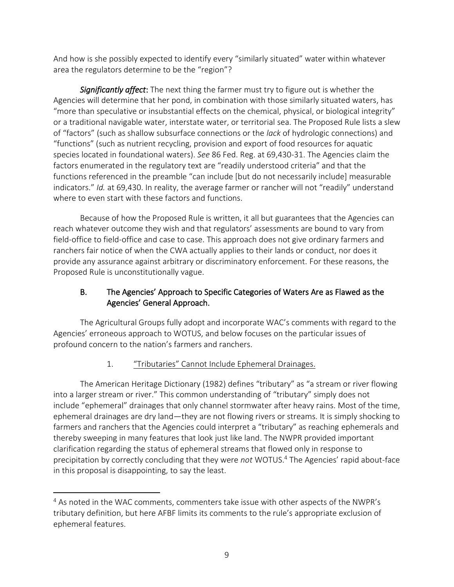And how is she possibly expected to identify every "similarly situated" water within whatever area the regulators determine to be the "region"?

*Significantly affect*: The next thing the farmer must try to figure out is whether the Agencies will determine that her pond, in combination with those similarly situated waters, has "more than speculative or insubstantial effects on the chemical, physical, or biological integrity" or a traditional navigable water, interstate water, or territorial sea. The Proposed Rule lists a slew of "factors" (such as shallow subsurface connections or the *lack* of hydrologic connections) and "functions" (such as nutrient recycling, provision and export of food resources for aquatic species located in foundational waters). *See* 86 Fed. Reg. at 69,430-31. The Agencies claim the factors enumerated in the regulatory text are "readily understood criteria" and that the functions referenced in the preamble "can include [but do not necessarily include] measurable indicators." *Id.* at 69,430. In reality, the average farmer or rancher will not "readily" understand where to even start with these factors and functions.

Because of how the Proposed Rule is written, it all but guarantees that the Agencies can reach whatever outcome they wish and that regulators' assessments are bound to vary from field-office to field-office and case to case. This approach does not give ordinary farmers and ranchers fair notice of when the CWA actually applies to their lands or conduct, nor does it provide any assurance against arbitrary or discriminatory enforcement. For these reasons, the Proposed Rule is unconstitutionally vague.

# B. The Agencies' Approach to Specific Categories of Waters Are as Flawed as the Agencies' General Approach.

The Agricultural Groups fully adopt and incorporate WAC's comments with regard to the Agencies' erroneous approach to WOTUS, and below focuses on the particular issues of profound concern to the nation's farmers and ranchers.

# 1. "Tributaries" Cannot Include Ephemeral Drainages.

The American Heritage Dictionary (1982) defines "tributary" as "a stream or river flowing into a larger stream or river." This common understanding of "tributary" simply does not include "ephemeral" drainages that only channel stormwater after heavy rains. Most of the time, ephemeral drainages are dry land—they are not flowing rivers or streams. It is simply shocking to farmers and ranchers that the Agencies could interpret a "tributary" as reaching ephemerals and thereby sweeping in many features that look just like land. The NWPR provided important clarification regarding the status of ephemeral streams that flowed only in response to precipitation by correctly concluding that they were *not* WOTUS.<sup>4</sup> The Agencies' rapid about-face in this proposal is disappointing, to say the least.

<sup>&</sup>lt;sup>4</sup> As noted in the WAC comments, commenters take issue with other aspects of the NWPR's tributary definition, but here AFBF limits its comments to the rule's appropriate exclusion of ephemeral features.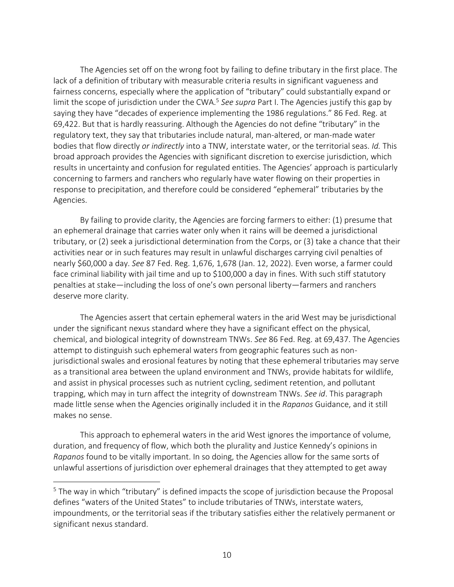The Agencies set off on the wrong foot by failing to define tributary in the first place. The lack of a definition of tributary with measurable criteria results in significant vagueness and fairness concerns, especially where the application of "tributary" could substantially expand or limit the scope of jurisdiction under the CWA.<sup>5</sup> See supra Part I. The Agencies justify this gap by saying they have "decades of experience implementing the 1986 regulations." 86 Fed. Reg. at 69,422. But that is hardly reassuring. Although the Agencies do not define "tributary" in the regulatory text, they say that tributaries include natural, man-altered, or man-made water bodies that flow directly *or indirectly* into a TNW, interstate water, or the territorial seas. *Id.* This broad approach provides the Agencies with significant discretion to exercise jurisdiction, which results in uncertainty and confusion for regulated entities. The Agencies' approach is particularly concerning to farmers and ranchers who regularly have water flowing on their properties in response to precipitation, and therefore could be considered "ephemeral" tributaries by the Agencies.

By failing to provide clarity, the Agencies are forcing farmers to either: (1) presume that an ephemeral drainage that carries water only when it rains will be deemed a jurisdictional tributary, or (2) seek a jurisdictional determination from the Corps, or (3) take a chance that their activities near or in such features may result in unlawful discharges carrying civil penalties of nearly \$60,000 a day. *See* 87 Fed. Reg. 1,676, 1,678 (Jan. 12, 2022). Even worse, a farmer could face criminal liability with jail time and up to \$100,000 a day in fines. With such stiff statutory penalties at stake—including the loss of one's own personal liberty—farmers and ranchers deserve more clarity.

The Agencies assert that certain ephemeral waters in the arid West may be jurisdictional under the significant nexus standard where they have a significant effect on the physical, chemical, and biological integrity of downstream TNWs. *See* 86 Fed. Reg. at 69,437. The Agencies attempt to distinguish such ephemeral waters from geographic features such as nonjurisdictional swales and erosional features by noting that these ephemeral tributaries may serve as a transitional area between the upland environment and TNWs, provide habitats for wildlife, and assist in physical processes such as nutrient cycling, sediment retention, and pollutant trapping, which may in turn affect the integrity of downstream TNWs. *See id*. This paragraph made little sense when the Agencies originally included it in the *Rapanos* Guidance, and it still makes no sense.

This approach to ephemeral waters in the arid West ignores the importance of volume, duration, and frequency of flow, which both the plurality and Justice Kennedy's opinions in *Rapanos* found to be vitally important. In so doing, the Agencies allow for the same sorts of unlawful assertions of jurisdiction over ephemeral drainages that they attempted to get away

<sup>&</sup>lt;sup>5</sup> The way in which "tributary" is defined impacts the scope of jurisdiction because the Proposal defines "waters of the United States" to include tributaries of TNWs, interstate waters, impoundments, or the territorial seas if the tributary satisfies either the relatively permanent or significant nexus standard.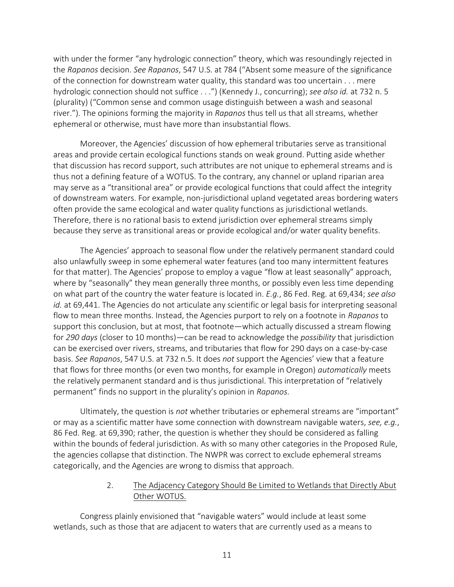with under the former "any hydrologic connection" theory, which was resoundingly rejected in the *Rapanos* decision. *See Rapanos*, 547 U.S. at 784 ("Absent some measure of the significance of the connection for downstream water quality, this standard was too uncertain . . . mere hydrologic connection should not suffice . . .") (Kennedy J., concurring); *see also id.* at 732 n. 5 (plurality) ("Common sense and common usage distinguish between a wash and seasonal river."). The opinions forming the majority in *Rapanos* thus tell us that all streams, whether ephemeral or otherwise, must have more than insubstantial flows.

Moreover, the Agencies' discussion of how ephemeral tributaries serve as transitional areas and provide certain ecological functions stands on weak ground. Putting aside whether that discussion has record support, such attributes are not unique to ephemeral streams and is thus not a defining feature of a WOTUS. To the contrary, any channel or upland riparian area may serve as a "transitional area" or provide ecological functions that could affect the integrity of downstream waters. For example, non-jurisdictional upland vegetated areas bordering waters often provide the same ecological and water quality functions as jurisdictional wetlands. Therefore, there is no rational basis to extend jurisdiction over ephemeral streams simply because they serve as transitional areas or provide ecological and/or water quality benefits.

The Agencies' approach to seasonal flow under the relatively permanent standard could also unlawfully sweep in some ephemeral water features (and too many intermittent features for that matter). The Agencies' propose to employ a vague "flow at least seasonally" approach, where by "seasonally" they mean generally three months, or possibly even less time depending on what part of the country the water feature is located in. *E.g.*, 86 Fed. Reg. at 69,434; *see also id.* at 69,441. The Agencies do not articulate any scientific or legal basis for interpreting seasonal flow to mean three months. Instead, the Agencies purport to rely on a footnote in *Rapanos* to support this conclusion, but at most, that footnote—which actually discussed a stream flowing for *290 days* (closer to 10 months)—can be read to acknowledge the *possibility* that jurisdiction can be exercised over rivers, streams, and tributaries that flow for 290 days on a case-by-case basis. *See Rapanos*, 547 U.S. at 732 n.5. It does *not* support the Agencies' view that a feature that flows for three months (or even two months, for example in Oregon) *automatically* meets the relatively permanent standard and is thus jurisdictional. This interpretation of "relatively permanent" finds no support in the plurality's opinion in *Rapanos*.

Ultimately, the question is *not* whether tributaries or ephemeral streams are "important" or may as a scientific matter have some connection with downstream navigable waters, *see, e.g.*, 86 Fed. Reg. at 69,390; rather, the question is whether they should be considered as falling within the bounds of federal jurisdiction. As with so many other categories in the Proposed Rule, the agencies collapse that distinction. The NWPR was correct to exclude ephemeral streams categorically, and the Agencies are wrong to dismiss that approach.

#### 2. The Adjacency Category Should Be Limited to Wetlands that Directly Abut Other WOTUS.

Congress plainly envisioned that "navigable waters" would include at least some wetlands, such as those that are adjacent to waters that are currently used as a means to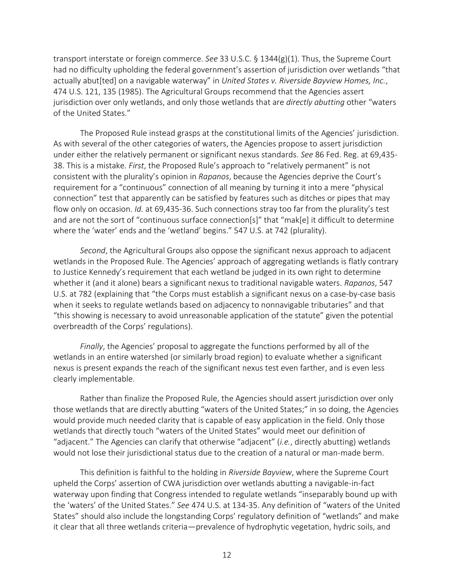transport interstate or foreign commerce. *See* 33 U.S.C. § 1344(g)(1). Thus, the Supreme Court had no difficulty upholding the federal government's assertion of jurisdiction over wetlands "that actually abut[ted] on a navigable waterway" in *United States v. Riverside Bayview Homes, Inc.*, 474 U.S. 121, 135 (1985). The Agricultural Groups recommend that the Agencies assert jurisdiction over only wetlands, and only those wetlands that are *directly abutting* other "waters of the United States."

The Proposed Rule instead grasps at the constitutional limits of the Agencies' jurisdiction. As with several of the other categories of waters, the Agencies propose to assert jurisdiction under either the relatively permanent or significant nexus standards. *See* 86 Fed. Reg. at 69,435- 38. This is a mistake. *First*, the Proposed Rule's approach to "relatively permanent" is not consistent with the plurality's opinion in *Rapanos*, because the Agencies deprive the Court's requirement for a "continuous" connection of all meaning by turning it into a mere "physical connection" test that apparently can be satisfied by features such as ditches or pipes that may flow only on occasion. *Id.* at 69,435-36. Such connections stray too far from the plurality's test and are not the sort of "continuous surface connection[s]" that "mak[e] it difficult to determine where the 'water' ends and the 'wetland' begins." 547 U.S. at 742 (plurality).

*Second*, the Agricultural Groups also oppose the significant nexus approach to adjacent wetlands in the Proposed Rule. The Agencies' approach of aggregating wetlands is flatly contrary to Justice Kennedy's requirement that each wetland be judged in its own right to determine whether it (and it alone) bears a significant nexus to traditional navigable waters. *Rapanos*, 547 U.S. at 782 (explaining that "the Corps must establish a significant nexus on a case-by-case basis when it seeks to regulate wetlands based on adjacency to nonnavigable tributaries" and that "this showing is necessary to avoid unreasonable application of the statute" given the potential overbreadth of the Corps' regulations).

*Finally*, the Agencies' proposal to aggregate the functions performed by all of the wetlands in an entire watershed (or similarly broad region) to evaluate whether a significant nexus is present expands the reach of the significant nexus test even farther, and is even less clearly implementable.

Rather than finalize the Proposed Rule, the Agencies should assert jurisdiction over only those wetlands that are directly abutting "waters of the United States;" in so doing, the Agencies would provide much needed clarity that is capable of easy application in the field. Only those wetlands that directly touch "waters of the United States" would meet our definition of "adjacent." The Agencies can clarify that otherwise "adjacent" (*i.e.*, directly abutting) wetlands would not lose their jurisdictional status due to the creation of a natural or man-made berm.

This definition is faithful to the holding in *Riverside Bayview*, where the Supreme Court upheld the Corps' assertion of CWA jurisdiction over wetlands abutting a navigable-in-fact waterway upon finding that Congress intended to regulate wetlands "inseparably bound up with the 'waters' of the United States." *See* 474 U.S. at 134-35. Any definition of "waters of the United States" should also include the longstanding Corps' regulatory definition of "wetlands" and make it clear that all three wetlands criteria—prevalence of hydrophytic vegetation, hydric soils, and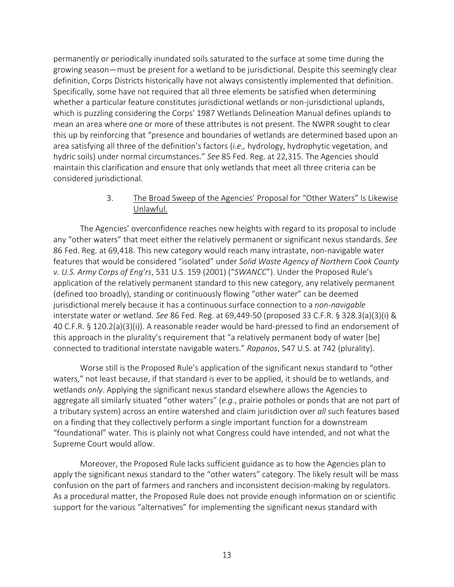permanently or periodically inundated soils saturated to the surface at some time during the growing season—must be present for a wetland to be jurisdictional. Despite this seemingly clear definition, Corps Districts historically have not always consistently implemented that definition. Specifically, some have not required that all three elements be satisfied when determining whether a particular feature constitutes jurisdictional wetlands or non-jurisdictional uplands, which is puzzling considering the Corps' 1987 Wetlands Delineation Manual defines uplands to mean an area where one or more of these attributes is not present. The NWPR sought to clear this up by reinforcing that "presence and boundaries of wetlands are determined based upon an area satisfying all three of the definition's factors (*i.e.,* hydrology, hydrophytic vegetation, and hydric soils) under normal circumstances." *See* 85 Fed. Reg. at 22,315. The Agencies should maintain this clarification and ensure that only wetlands that meet all three criteria can be considered jurisdictional.

### 3. The Broad Sweep of the Agencies' Proposal for "Other Waters" Is Likewise Unlawful.

The Agencies' overconfidence reaches new heights with regard to its proposal to include any "other waters" that meet either the relatively permanent or significant nexus standards. *See* 86 Fed. Reg. at 69,418. This new category would reach many intrastate, non-navigable water features that would be considered "isolated" under *Solid Waste Agency of Northern Cook County v. U.S. Army Corps of Eng'rs*, 531 U.S. 159 (2001) ("*SWANCC*"). Under the Proposed Rule's application of the relatively permanent standard to this new category, any relatively permanent (defined too broadly), standing or continuously flowing "other water" can be deemed jurisdictional merely because it has a continuous surface connection to a *non-navigable* interstate water or wetland. *See* 86 Fed. Reg. at 69,449-50 (proposed 33 C.F.R. § 328.3(a)(3)(i) & 40 C.F.R. § 120.2(a)(3)(i)). A reasonable reader would be hard-pressed to find an endorsement of this approach in the plurality's requirement that "a relatively permanent body of water [be] connected to traditional interstate navigable waters." *Rapanos*, 547 U.S. at 742 (plurality).

Worse still is the Proposed Rule's application of the significant nexus standard to "other waters," not least because, if that standard is ever to be applied, it should be to wetlands, and wetlands *only*. Applying the significant nexus standard elsewhere allows the Agencies to aggregate all similarly situated "other waters" (*e.g.*, prairie potholes or ponds that are not part of a tributary system) across an entire watershed and claim jurisdiction over *all* such features based on a finding that they collectively perform a single important function for a downstream "foundational" water. This is plainly not what Congress could have intended, and not what the Supreme Court would allow.

Moreover, the Proposed Rule lacks sufficient guidance as to how the Agencies plan to apply the significant nexus standard to the "other waters" category. The likely result will be mass confusion on the part of farmers and ranchers and inconsistent decision-making by regulators. As a procedural matter, the Proposed Rule does not provide enough information on or scientific support for the various "alternatives" for implementing the significant nexus standard with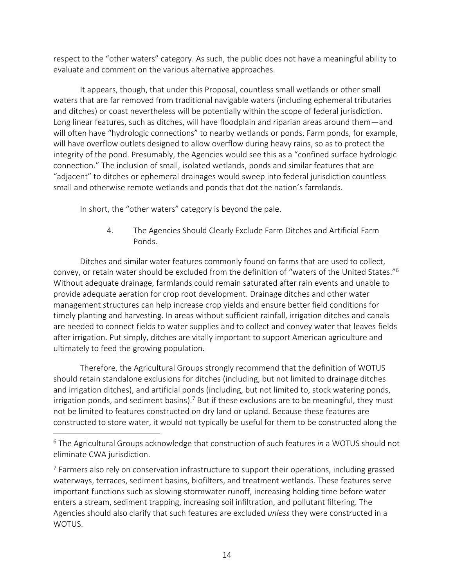respect to the "other waters" category. As such, the public does not have a meaningful ability to evaluate and comment on the various alternative approaches.

It appears, though, that under this Proposal, countless small wetlands or other small waters that are far removed from traditional navigable waters (including ephemeral tributaries and ditches) or coast nevertheless will be potentially within the scope of federal jurisdiction. Long linear features, such as ditches, will have floodplain and riparian areas around them—and will often have "hydrologic connections" to nearby wetlands or ponds. Farm ponds, for example, will have overflow outlets designed to allow overflow during heavy rains, so as to protect the integrity of the pond. Presumably, the Agencies would see this as a "confined surface hydrologic connection." The inclusion of small, isolated wetlands, ponds and similar features that are "adjacent" to ditches or ephemeral drainages would sweep into federal jurisdiction countless small and otherwise remote wetlands and ponds that dot the nation's farmlands.

In short, the "other waters" category is beyond the pale.

# 4. The Agencies Should Clearly Exclude Farm Ditches and Artificial Farm Ponds.

Ditches and similar water features commonly found on farms that are used to collect, convey, or retain water should be excluded from the definition of "waters of the United States." 6 Without adequate drainage, farmlands could remain saturated after rain events and unable to provide adequate aeration for crop root development. Drainage ditches and other water management structures can help increase crop yields and ensure better field conditions for timely planting and harvesting. In areas without sufficient rainfall, irrigation ditches and canals are needed to connect fields to water supplies and to collect and convey water that leaves fields after irrigation. Put simply, ditches are vitally important to support American agriculture and ultimately to feed the growing population.

Therefore, the Agricultural Groups strongly recommend that the definition of WOTUS should retain standalone exclusions for ditches (including, but not limited to drainage ditches and irrigation ditches), and artificial ponds (including, but not limited to, stock watering ponds, irrigation ponds, and sediment basins).<sup>7</sup> But if these exclusions are to be meaningful, they must not be limited to features constructed on dry land or upland. Because these features are constructed to store water, it would not typically be useful for them to be constructed along the

<sup>6</sup> The Agricultural Groups acknowledge that construction of such features *in* a WOTUS should not eliminate CWA jurisdiction.

 $<sup>7</sup>$  Farmers also rely on conservation infrastructure to support their operations, including grassed</sup> waterways, terraces, sediment basins, biofilters, and treatment wetlands. These features serve important functions such as slowing stormwater runoff, increasing holding time before water enters a stream, sediment trapping, increasing soil infiltration, and pollutant filtering. The Agencies should also clarify that such features are excluded *unless* they were constructed in a WOTUS.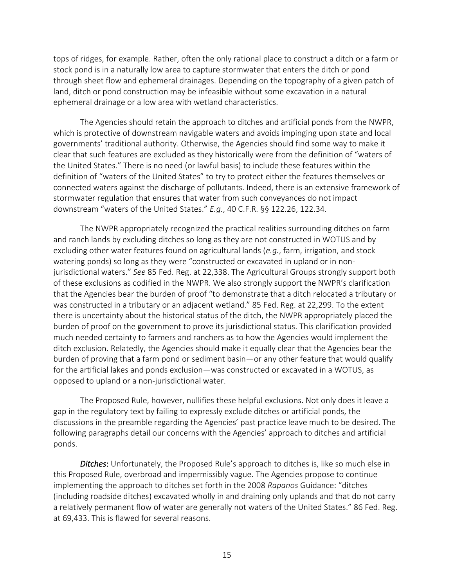tops of ridges, for example. Rather, often the only rational place to construct a ditch or a farm or stock pond is in a naturally low area to capture stormwater that enters the ditch or pond through sheet flow and ephemeral drainages. Depending on the topography of a given patch of land, ditch or pond construction may be infeasible without some excavation in a natural ephemeral drainage or a low area with wetland characteristics.

The Agencies should retain the approach to ditches and artificial ponds from the NWPR, which is protective of downstream navigable waters and avoids impinging upon state and local governments' traditional authority. Otherwise, the Agencies should find some way to make it clear that such features are excluded as they historically were from the definition of "waters of the United States." There is no need (or lawful basis) to include these features within the definition of "waters of the United States" to try to protect either the features themselves or connected waters against the discharge of pollutants. Indeed, there is an extensive framework of stormwater regulation that ensures that water from such conveyances do not impact downstream "waters of the United States." *E.g.*, 40 C.F.R. §§ 122.26, 122.34.

The NWPR appropriately recognized the practical realities surrounding ditches on farm and ranch lands by excluding ditches so long as they are not constructed in WOTUS and by excluding other water features found on agricultural lands (*e.g.*, farm, irrigation, and stock watering ponds) so long as they were "constructed or excavated in upland or in nonjurisdictional waters." *See* 85 Fed. Reg. at 22,338. The Agricultural Groups strongly support both of these exclusions as codified in the NWPR. We also strongly support the NWPR's clarification that the Agencies bear the burden of proof "to demonstrate that a ditch relocated a tributary or was constructed in a tributary or an adjacent wetland." 85 Fed. Reg. at 22,299. To the extent there is uncertainty about the historical status of the ditch, the NWPR appropriately placed the burden of proof on the government to prove its jurisdictional status. This clarification provided much needed certainty to farmers and ranchers as to how the Agencies would implement the ditch exclusion. Relatedly, the Agencies should make it equally clear that the Agencies bear the burden of proving that a farm pond or sediment basin―or any other feature that would qualify for the artificial lakes and ponds exclusion―was constructed or excavated in a WOTUS, as opposed to upland or a non-jurisdictional water.

The Proposed Rule, however, nullifies these helpful exclusions. Not only does it leave a gap in the regulatory text by failing to expressly exclude ditches or artificial ponds, the discussions in the preamble regarding the Agencies' past practice leave much to be desired. The following paragraphs detail our concerns with the Agencies' approach to ditches and artificial ponds.

*Ditches*: Unfortunately, the Proposed Rule's approach to ditches is, like so much else in this Proposed Rule, overbroad and impermissibly vague. The Agencies propose to continue implementing the approach to ditches set forth in the 2008 *Rapanos* Guidance: "ditches (including roadside ditches) excavated wholly in and draining only uplands and that do not carry a relatively permanent flow of water are generally not waters of the United States." 86 Fed. Reg. at 69,433. This is flawed for several reasons.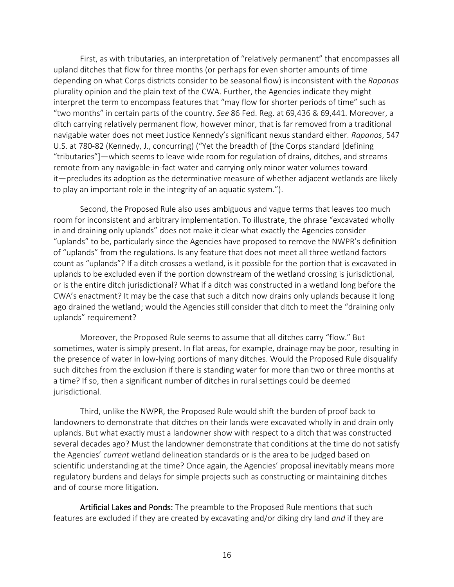First, as with tributaries, an interpretation of "relatively permanent" that encompasses all upland ditches that flow for three months (or perhaps for even shorter amounts of time depending on what Corps districts consider to be seasonal flow) is inconsistent with the *Rapanos*  plurality opinion and the plain text of the CWA. Further, the Agencies indicate they might interpret the term to encompass features that "may flow for shorter periods of time" such as "two months" in certain parts of the country. *See* 86 Fed. Reg. at 69,436 & 69,441. Moreover, a ditch carrying relatively permanent flow, however minor, that is far removed from a traditional navigable water does not meet Justice Kennedy's significant nexus standard either. *Rapanos*, 547 U.S. at 780-82 (Kennedy, J., concurring) ("Yet the breadth of [the Corps standard [defining "tributaries"]―which seems to leave wide room for regulation of drains, ditches, and streams remote from any navigable-in-fact water and carrying only minor water volumes toward it―precludes its adoption as the determinative measure of whether adjacent wetlands are likely to play an important role in the integrity of an aquatic system.").

Second, the Proposed Rule also uses ambiguous and vague terms that leaves too much room for inconsistent and arbitrary implementation. To illustrate, the phrase "excavated wholly in and draining only uplands" does not make it clear what exactly the Agencies consider "uplands" to be, particularly since the Agencies have proposed to remove the NWPR's definition of "uplands" from the regulations. Is any feature that does not meet all three wetland factors count as "uplands"? If a ditch crosses a wetland, is it possible for the portion that is excavated in uplands to be excluded even if the portion downstream of the wetland crossing is jurisdictional, or is the entire ditch jurisdictional? What if a ditch was constructed in a wetland long before the CWA's enactment? It may be the case that such a ditch now drains only uplands because it long ago drained the wetland; would the Agencies still consider that ditch to meet the "draining only uplands" requirement?

Moreover, the Proposed Rule seems to assume that all ditches carry "flow." But sometimes, water is simply present. In flat areas, for example, drainage may be poor, resulting in the presence of water in low-lying portions of many ditches. Would the Proposed Rule disqualify such ditches from the exclusion if there is standing water for more than two or three months at a time? If so, then a significant number of ditches in rural settings could be deemed jurisdictional.

Third, unlike the NWPR, the Proposed Rule would shift the burden of proof back to landowners to demonstrate that ditches on their lands were excavated wholly in and drain only uplands. But what exactly must a landowner show with respect to a ditch that was constructed several decades ago? Must the landowner demonstrate that conditions at the time do not satisfy the Agencies' *current* wetland delineation standards or is the area to be judged based on scientific understanding at the time? Once again, the Agencies' proposal inevitably means more regulatory burdens and delays for simple projects such as constructing or maintaining ditches and of course more litigation.

Artificial Lakes and Ponds: The preamble to the Proposed Rule mentions that such features are excluded if they are created by excavating and/or diking dry land *and* if they are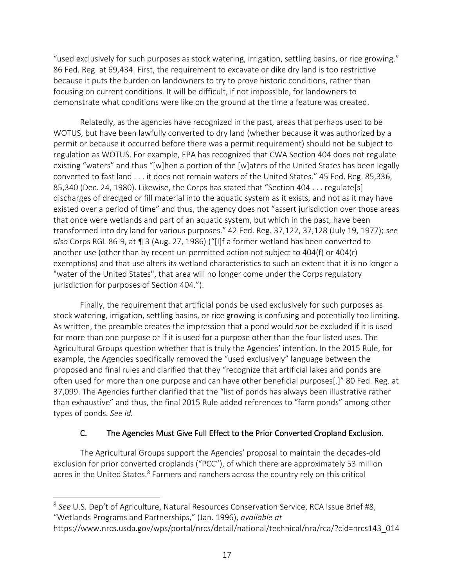"used exclusively for such purposes as stock watering, irrigation, settling basins, or rice growing." 86 Fed. Reg. at 69,434. First, the requirement to excavate or dike dry land is too restrictive because it puts the burden on landowners to try to prove historic conditions, rather than focusing on current conditions. It will be difficult, if not impossible, for landowners to demonstrate what conditions were like on the ground at the time a feature was created.

Relatedly, as the agencies have recognized in the past, areas that perhaps used to be WOTUS, but have been lawfully converted to dry land (whether because it was authorized by a permit or because it occurred before there was a permit requirement) should not be subject to regulation as WOTUS. For example, EPA has recognized that CWA Section 404 does not regulate existing "waters" and thus "[w]hen a portion of the [w]aters of the United States has been legally converted to fast land . . . it does not remain waters of the United States." 45 Fed. Reg. 85,336, 85,340 (Dec. 24, 1980). Likewise, the Corps has stated that "Section 404 . . . regulate[s] discharges of dredged or fill material into the aquatic system as it exists, and not as it may have existed over a period of time" and thus, the agency does not "assert jurisdiction over those areas that once were wetlands and part of an aquatic system, but which in the past, have been transformed into dry land for various purposes." 42 Fed. Reg. 37,122, 37,128 (July 19, 1977); *see also* Corps RGL 86-9, at ¶ 3 (Aug. 27, 1986) ("[I]f a former wetland has been converted to another use (other than by recent un-permitted action not subject to 404(f) or 404(r) exemptions) and that use alters its wetland characteristics to such an extent that it is no longer a "water of the United States", that area will no longer come under the Corps regulatory jurisdiction for purposes of Section 404.").

Finally, the requirement that artificial ponds be used exclusively for such purposes as stock watering, irrigation, settling basins, or rice growing is confusing and potentially too limiting. As written, the preamble creates the impression that a pond would *not* be excluded if it is used for more than one purpose or if it is used for a purpose other than the four listed uses. The Agricultural Groups question whether that is truly the Agencies' intention. In the 2015 Rule, for example, the Agencies specifically removed the "used exclusively" language between the proposed and final rules and clarified that they "recognize that artificial lakes and ponds are often used for more than one purpose and can have other beneficial purposes[.]" 80 Fed. Reg. at 37,099. The Agencies further clarified that the "list of ponds has always been illustrative rather than exhaustive" and thus, the final 2015 Rule added references to "farm ponds" among other types of ponds. *See id.*

# C. The Agencies Must Give Full Effect to the Prior Converted Cropland Exclusion.

The Agricultural Groups support the Agencies' proposal to maintain the decades-old exclusion for prior converted croplands ("PCC"), of which there are approximately 53 million acres in the United States.<sup>8</sup> Farmers and ranchers across the country rely on this critical

<sup>8</sup> *See* U.S. Dep't of Agriculture, Natural Resources Conservation Service, RCA Issue Brief #8, "Wetlands Programs and Partnerships," (Jan. 1996), *available at* 

https://www.nrcs.usda.gov/wps/portal/nrcs/detail/national/technical/nra/rca/?cid=nrcs143\_014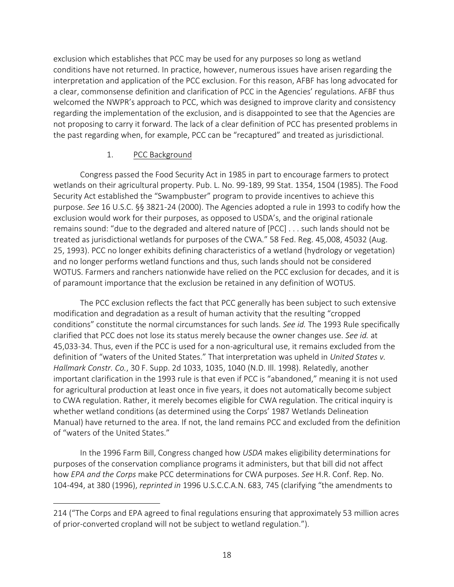exclusion which establishes that PCC may be used for any purposes so long as wetland conditions have not returned. In practice, however, numerous issues have arisen regarding the interpretation and application of the PCC exclusion. For this reason, AFBF has long advocated for a clear, commonsense definition and clarification of PCC in the Agencies' regulations. AFBF thus welcomed the NWPR's approach to PCC, which was designed to improve clarity and consistency regarding the implementation of the exclusion, and is disappointed to see that the Agencies are not proposing to carry it forward. The lack of a clear definition of PCC has presented problems in the past regarding when, for example, PCC can be "recaptured" and treated as jurisdictional.

### 1. PCC Background

Congress passed the Food Security Act in 1985 in part to encourage farmers to protect wetlands on their agricultural property. Pub. L. No. 99-189, 99 Stat. 1354, 1504 (1985). The Food Security Act established the "Swampbuster" program to provide incentives to achieve this purpose. *See* 16 U.S.C. §§ 3821-24 (2000). The Agencies adopted a rule in 1993 to codify how the exclusion would work for their purposes, as opposed to USDA's, and the original rationale remains sound: "due to the degraded and altered nature of [PCC] . . . such lands should not be treated as jurisdictional wetlands for purposes of the CWA." 58 Fed. Reg. 45,008, 45032 (Aug. 25, 1993). PCC no longer exhibits defining characteristics of a wetland (hydrology or vegetation) and no longer performs wetland functions and thus, such lands should not be considered WOTUS. Farmers and ranchers nationwide have relied on the PCC exclusion for decades, and it is of paramount importance that the exclusion be retained in any definition of WOTUS.

The PCC exclusion reflects the fact that PCC generally has been subject to such extensive modification and degradation as a result of human activity that the resulting "cropped conditions" constitute the normal circumstances for such lands. *See id.* The 1993 Rule specifically clarified that PCC does not lose its status merely because the owner changes use. *See id.* at 45,033-34. Thus, even if the PCC is used for a non-agricultural use, it remains excluded from the definition of "waters of the United States." That interpretation was upheld in *United States v. Hallmark Constr. Co.*, 30 F. Supp. 2d 1033, 1035, 1040 (N.D. Ill. 1998). Relatedly, another important clarification in the 1993 rule is that even if PCC is "abandoned," meaning it is not used for agricultural production at least once in five years, it does not automatically become subject to CWA regulation. Rather, it merely becomes eligible for CWA regulation. The critical inquiry is whether wetland conditions (as determined using the Corps' 1987 Wetlands Delineation Manual) have returned to the area. If not, the land remains PCC and excluded from the definition of "waters of the United States."

In the 1996 Farm Bill, Congress changed how *USDA* makes eligibility determinations for purposes of the conservation compliance programs it administers, but that bill did not affect how *EPA and the Corps* make PCC determinations for CWA purposes. *See* H.R. Conf. Rep. No. 104-494, at 380 (1996), *reprinted in* 1996 U.S.C.C.A.N. 683, 745 (clarifying "the amendments to

<sup>214 (&</sup>quot;The Corps and EPA agreed to final regulations ensuring that approximately 53 million acres of prior-converted cropland will not be subject to wetland regulation.").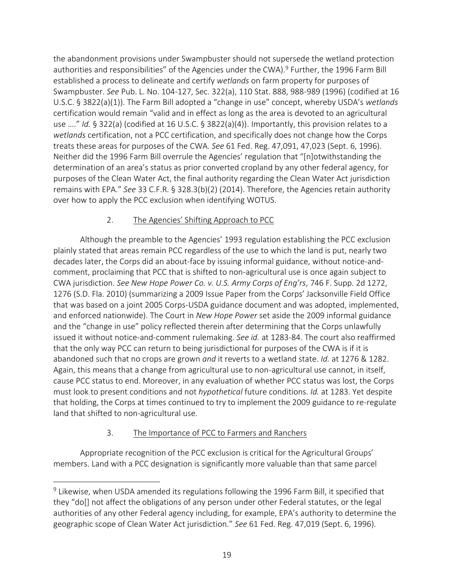the abandonment provisions under Swampbuster should not supersede the wetland protection authorities and responsibilities" of the Agencies under the CWA).<sup>9</sup> Further, the 1996 Farm Bill established a process to delineate and certify *wetlands* on farm property for purposes of Swampbuster. *See* Pub. L. No. 104-127, Sec. 322(a), 110 Stat. 888, 988-989 (1996) (codified at 16 U.S.C. § 3822(a)(1)). The Farm Bill adopted a "change in use" concept, whereby USDA's *wetlands*  certification would remain "valid and in effect as long as the area is devoted to an agricultural use …." *Id.* § 322(a) (codified at 16 U.S.C. § 3822(a)(4)). Importantly, this provision relates to a *wetlands* certification, not a PCC certification, and specifically does not change how the Corps treats these areas for purposes of the CWA. *See* 61 Fed. Reg. 47,091, 47,023 (Sept. 6, 1996). Neither did the 1996 Farm Bill overrule the Agencies' regulation that "[n]otwithstanding the determination of an area's status as prior converted cropland by any other federal agency, for purposes of the Clean Water Act, the final authority regarding the Clean Water Act jurisdiction remains with EPA." *See* 33 C.F.R. § 328.3(b)(2) (2014). Therefore, the Agencies retain authority over how to apply the PCC exclusion when identifying WOTUS.

# 2. The Agencies' Shifting Approach to PCC

Although the preamble to the Agencies' 1993 regulation establishing the PCC exclusion plainly stated that areas remain PCC regardless of the use to which the land is put, nearly two decades later, the Corps did an about-face by issuing informal guidance, without notice-andcomment, proclaiming that PCC that is shifted to non-agricultural use is once again subject to CWA jurisdiction. *See New Hope Power Co. v. U.S. Army Corps of Eng'rs*, 746 F. Supp. 2d 1272, 1276 (S.D. Fla. 2010) (summarizing a 2009 Issue Paper from the Corps' Jacksonville Field Office that was based on a joint 2005 Corps-USDA guidance document and was adopted, implemented, and enforced nationwide). The Court in *New Hope Power* set aside the 2009 informal guidance and the "change in use" policy reflected therein after determining that the Corps unlawfully issued it without notice-and-comment rulemaking. *See id.* at 1283-84. The court also reaffirmed that the only way PCC can return to being jurisdictional for purposes of the CWA is if it is abandoned such that no crops are grown *and* it reverts to a wetland state. *Id.* at 1276 & 1282. Again, this means that a change from agricultural use to non-agricultural use cannot, in itself, cause PCC status to end. Moreover, in any evaluation of whether PCC status was lost, the Corps must look to present conditions and not *hypothetical* future conditions. *Id.* at 1283. Yet despite that holding, the Corps at times continued to try to implement the 2009 guidance to re-regulate land that shifted to non-agricultural use.

# 3. The Importance of PCC to Farmers and Ranchers

Appropriate recognition of the PCC exclusion is critical for the Agricultural Groups' members. Land with a PCC designation is significantly more valuable than that same parcel

<sup>&</sup>lt;sup>9</sup> Likewise, when USDA amended its regulations following the 1996 Farm Bill, it specified that they "do[] not affect the obligations of any person under other Federal statutes, or the legal authorities of any other Federal agency including, for example, EPA's authority to determine the geographic scope of Clean Water Act jurisdiction." *See* 61 Fed. Reg. 47,019 (Sept. 6, 1996).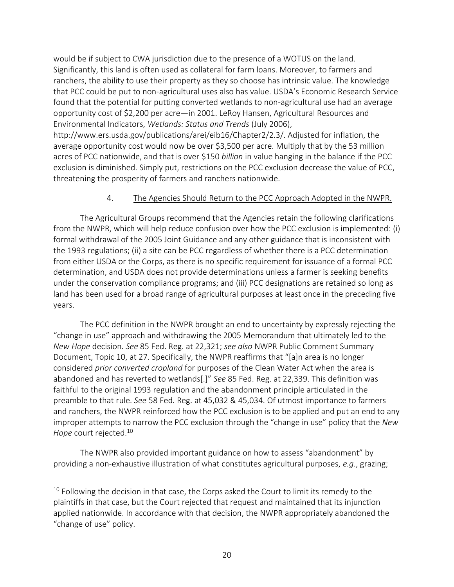would be if subject to CWA jurisdiction due to the presence of a WOTUS on the land. Significantly, this land is often used as collateral for farm loans. Moreover, to farmers and ranchers, the ability to use their property as they so choose has intrinsic value. The knowledge that PCC could be put to non-agricultural uses also has value. USDA's Economic Research Service found that the potential for putting converted wetlands to non-agricultural use had an average opportunity cost of \$2,200 per acre—in 2001. LeRoy Hansen, Agricultural Resources and Environmental Indicators, *Wetlands: Status and Trends* (July 2006),

http://www.ers.usda.gov/publications/arei/eib16/Chapter2/2.3/. Adjusted for inflation, the average opportunity cost would now be over \$3,500 per acre. Multiply that by the 53 million acres of PCC nationwide, and that is over \$150 *billion* in value hanging in the balance if the PCC exclusion is diminished. Simply put, restrictions on the PCC exclusion decrease the value of PCC, threatening the prosperity of farmers and ranchers nationwide.

### 4. The Agencies Should Return to the PCC Approach Adopted in the NWPR.

The Agricultural Groups recommend that the Agencies retain the following clarifications from the NWPR, which will help reduce confusion over how the PCC exclusion is implemented: (i) formal withdrawal of the 2005 Joint Guidance and any other guidance that is inconsistent with the 1993 regulations; (ii) a site can be PCC regardless of whether there is a PCC determination from either USDA or the Corps, as there is no specific requirement for issuance of a formal PCC determination, and USDA does not provide determinations unless a farmer is seeking benefits under the conservation compliance programs; and (iii) PCC designations are retained so long as land has been used for a broad range of agricultural purposes at least once in the preceding five years.

The PCC definition in the NWPR brought an end to uncertainty by expressly rejecting the "change in use" approach and withdrawing the 2005 Memorandum that ultimately led to the *New Hope* decision. *See* 85 Fed. Reg. at 22,321; *see also* NWPR Public Comment Summary Document, Topic 10, at 27. Specifically, the NWPR reaffirms that "[a]n area is no longer considered *prior converted cropland* for purposes of the Clean Water Act when the area is abandoned and has reverted to wetlands[.]" *See* 85 Fed. Reg. at 22,339. This definition was faithful to the original 1993 regulation and the abandonment principle articulated in the preamble to that rule. *See* 58 Fed. Reg. at 45,032 & 45,034. Of utmost importance to farmers and ranchers, the NWPR reinforced how the PCC exclusion is to be applied and put an end to any improper attempts to narrow the PCC exclusion through the "change in use" policy that the *New Hope* court rejected.<sup>10</sup>

The NWPR also provided important guidance on how to assess "abandonment" by providing a non-exhaustive illustration of what constitutes agricultural purposes, *e.g.*, grazing;

 $10$  Following the decision in that case, the Corps asked the Court to limit its remedy to the plaintiffs in that case, but the Court rejected that request and maintained that its injunction applied nationwide. In accordance with that decision, the NWPR appropriately abandoned the "change of use" policy.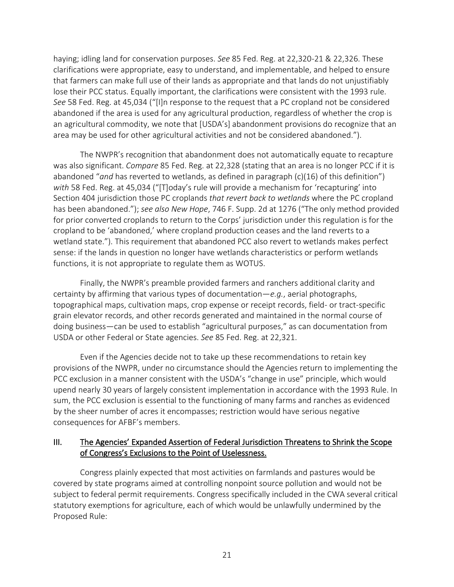haying; idling land for conservation purposes. *See* 85 Fed. Reg. at 22,320-21 & 22,326. These clarifications were appropriate, easy to understand, and implementable, and helped to ensure that farmers can make full use of their lands as appropriate and that lands do not unjustifiably lose their PCC status. Equally important, the clarifications were consistent with the 1993 rule. *See* 58 Fed. Reg. at 45,034 ("[I]n response to the request that a PC cropland not be considered abandoned if the area is used for any agricultural production, regardless of whether the crop is an agricultural commodity, we note that [USDA's] abandonment provisions do recognize that an area may be used for other agricultural activities and not be considered abandoned.").

The NWPR's recognition that abandonment does not automatically equate to recapture was also significant. *Compare* 85 Fed. Reg. at 22,328 (stating that an area is no longer PCC if it is abandoned "*and* has reverted to wetlands, as defined in paragraph (c)(16) of this definition") *with* 58 Fed. Reg. at 45,034 ("[T]oday's rule will provide a mechanism for 'recapturing' into Section 404 jurisdiction those PC croplands *that revert back to wetlands* where the PC cropland has been abandoned."); *see also New Hope*, 746 F. Supp. 2d at 1276 ("The only method provided for prior converted croplands to return to the Corps' jurisdiction under this regulation is for the cropland to be 'abandoned,' where cropland production ceases and the land reverts to a wetland state."). This requirement that abandoned PCC also revert to wetlands makes perfect sense: if the lands in question no longer have wetlands characteristics or perform wetlands functions, it is not appropriate to regulate them as WOTUS.

Finally, the NWPR's preamble provided farmers and ranchers additional clarity and certainty by affirming that various types of documentation―*e.g.*, aerial photographs, topographical maps, cultivation maps, crop expense or receipt records, field- or tract-specific grain elevator records, and other records generated and maintained in the normal course of doing business―can be used to establish "agricultural purposes," as can documentation from USDA or other Federal or State agencies. *See* 85 Fed. Reg. at 22,321.

Even if the Agencies decide not to take up these recommendations to retain key provisions of the NWPR, under no circumstance should the Agencies return to implementing the PCC exclusion in a manner consistent with the USDA's "change in use" principle, which would upend nearly 30 years of largely consistent implementation in accordance with the 1993 Rule. In sum, the PCC exclusion is essential to the functioning of many farms and ranches as evidenced by the sheer number of acres it encompasses; restriction would have serious negative consequences for AFBF's members.

## III. The Agencies' Expanded Assertion of Federal Jurisdiction Threatens to Shrink the Scope of Congress's Exclusions to the Point of Uselessness.

Congress plainly expected that most activities on farmlands and pastures would be covered by state programs aimed at controlling nonpoint source pollution and would not be subject to federal permit requirements. Congress specifically included in the CWA several critical statutory exemptions for agriculture, each of which would be unlawfully undermined by the Proposed Rule: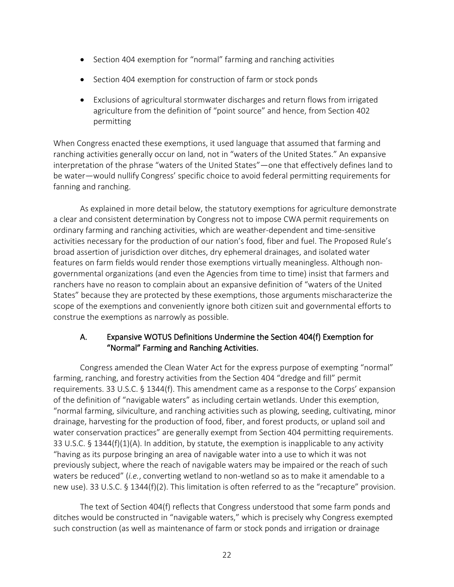- Section 404 exemption for "normal" farming and ranching activities
- Section 404 exemption for construction of farm or stock ponds
- Exclusions of agricultural stormwater discharges and return flows from irrigated agriculture from the definition of "point source" and hence, from Section 402 permitting

When Congress enacted these exemptions, it used language that assumed that farming and ranching activities generally occur on land, not in "waters of the United States." An expansive interpretation of the phrase "waters of the United States"—one that effectively defines land to be water—would nullify Congress' specific choice to avoid federal permitting requirements for fanning and ranching.

As explained in more detail below, the statutory exemptions for agriculture demonstrate a clear and consistent determination by Congress not to impose CWA permit requirements on ordinary farming and ranching activities, which are weather-dependent and time-sensitive activities necessary for the production of our nation's food, fiber and fuel. The Proposed Rule's broad assertion of jurisdiction over ditches, dry ephemeral drainages, and isolated water features on farm fields would render those exemptions virtually meaningless. Although nongovernmental organizations (and even the Agencies from time to time) insist that farmers and ranchers have no reason to complain about an expansive definition of "waters of the United States" because they are protected by these exemptions, those arguments mischaracterize the scope of the exemptions and conveniently ignore both citizen suit and governmental efforts to construe the exemptions as narrowly as possible.

# A. Expansive WOTUS Definitions Undermine the Section 404(f) Exemption for "Normal" Farming and Ranching Activities.

Congress amended the Clean Water Act for the express purpose of exempting "normal" farming, ranching, and forestry activities from the Section 404 "dredge and fill" permit requirements. 33 U.S.C. § 1344(f). This amendment came as a response to the Corps' expansion of the definition of "navigable waters" as including certain wetlands. Under this exemption, "normal farming, silviculture, and ranching activities such as plowing, seeding, cultivating, minor drainage, harvesting for the production of food, fiber, and forest products, or upland soil and water conservation practices" are generally exempt from Section 404 permitting requirements. 33 U.S.C. § 1344(f)(1)(A). In addition, by statute, the exemption is inapplicable to any activity "having as its purpose bringing an area of navigable water into a use to which it was not previously subject, where the reach of navigable waters may be impaired or the reach of such waters be reduced" (*i.e.*, converting wetland to non-wetland so as to make it amendable to a new use). 33 U.S.C. § 1344(f)(2). This limitation is often referred to as the "recapture" provision.

The text of Section 404(f) reflects that Congress understood that some farm ponds and ditches would be constructed in "navigable waters," which is precisely why Congress exempted such construction (as well as maintenance of farm or stock ponds and irrigation or drainage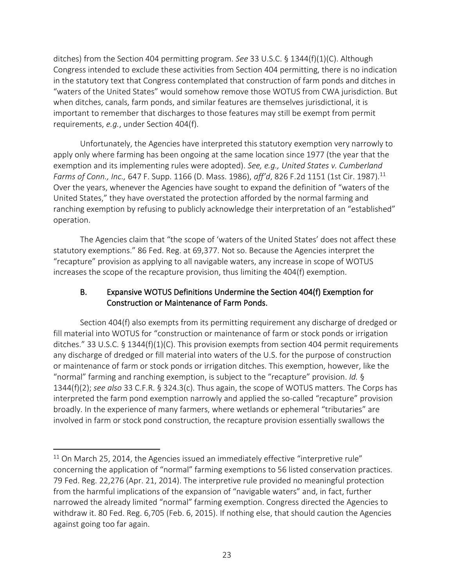ditches) from the Section 404 permitting program. *See* 33 U.S.C. § 1344(f)(1)(C). Although Congress intended to exclude these activities from Section 404 permitting, there is no indication in the statutory text that Congress contemplated that construction of farm ponds and ditches in "waters of the United States" would somehow remove those WOTUS from CWA jurisdiction. But when ditches, canals, farm ponds, and similar features are themselves jurisdictional, it is important to remember that discharges to those features may still be exempt from permit requirements, *e.g.*, under Section 404(f).

Unfortunately, the Agencies have interpreted this statutory exemption very narrowly to apply only where farming has been ongoing at the same location since 1977 (the year that the exemption and its implementing rules were adopted). *See, e.g., United States v. Cumberland Farms of Conn., Inc.,* 647 F. Supp. 1166 (D. Mass. 1986), *aff'd*, 826 F.2d 1151 (1st Cir. 1987).<sup>11</sup> Over the years, whenever the Agencies have sought to expand the definition of "waters of the United States," they have overstated the protection afforded by the normal farming and ranching exemption by refusing to publicly acknowledge their interpretation of an "established" operation.

The Agencies claim that "the scope of 'waters of the United States' does not affect these statutory exemptions." 86 Fed. Reg. at 69,377. Not so. Because the Agencies interpret the "recapture" provision as applying to all navigable waters, any increase in scope of WOTUS increases the scope of the recapture provision, thus limiting the 404(f) exemption.

# B. Expansive WOTUS Definitions Undermine the Section 404(f) Exemption for Construction or Maintenance of Farm Ponds.

Section 404(f) also exempts from its permitting requirement any discharge of dredged or fill material into WOTUS for "construction or maintenance of farm or stock ponds or irrigation ditches." 33 U.S.C.  $\S$  1344(f)(1)(C). This provision exempts from section 404 permit requirements any discharge of dredged or fill material into waters of the U.S. for the purpose of construction or maintenance of farm or stock ponds or irrigation ditches. This exemption, however, like the "normal" farming and ranching exemption, is subject to the "recapture" provision. *Id.* § 1344(f)(2); *see also* 33 C.F.R. § 324.3(c). Thus again, the scope of WOTUS matters. The Corps has interpreted the farm pond exemption narrowly and applied the so-called "recapture" provision broadly. In the experience of many farmers, where wetlands or ephemeral "tributaries" are involved in farm or stock pond construction, the recapture provision essentially swallows the

 $11$  On March 25, 2014, the Agencies issued an immediately effective "interpretive rule" concerning the application of "normal" farming exemptions to 56 listed conservation practices. 79 Fed. Reg. 22,276 (Apr. 21, 2014). The interpretive rule provided no meaningful protection from the harmful implications of the expansion of "navigable waters" and, in fact, further narrowed the already limited "normal" farming exemption. Congress directed the Agencies to withdraw it. 80 Fed. Reg. 6,705 (Feb. 6, 2015). If nothing else, that should caution the Agencies against going too far again.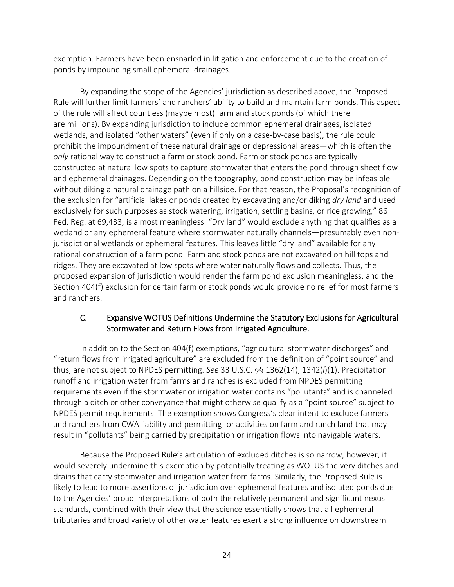exemption. Farmers have been ensnarled in litigation and enforcement due to the creation of ponds by impounding small ephemeral drainages.

By expanding the scope of the Agencies' jurisdiction as described above, the Proposed Rule will further limit farmers' and ranchers' ability to build and maintain farm ponds. This aspect of the rule will affect countless (maybe most) farm and stock ponds (of which there are millions). By expanding jurisdiction to include common ephemeral drainages, isolated wetlands, and isolated "other waters" (even if only on a case-by-case basis), the rule could prohibit the impoundment of these natural drainage or depressional areas—which is often the *only* rational way to construct a farm or stock pond. Farm or stock ponds are typically constructed at natural low spots to capture stormwater that enters the pond through sheet flow and ephemeral drainages. Depending on the topography, pond construction may be infeasible without diking a natural drainage path on a hillside. For that reason, the Proposal's recognition of the exclusion for "artificial lakes or ponds created by excavating and/or diking *dry land* and used exclusively for such purposes as stock watering, irrigation, settling basins, or rice growing," 86 Fed. Reg. at 69,433, is almost meaningless. "Dry land" would exclude anything that qualifies as a wetland or any ephemeral feature where stormwater naturally channels—presumably even nonjurisdictional wetlands or ephemeral features. This leaves little "dry land" available for any rational construction of a farm pond. Farm and stock ponds are not excavated on hill tops and ridges. They are excavated at low spots where water naturally flows and collects. Thus, the proposed expansion of jurisdiction would render the farm pond exclusion meaningless, and the Section 404(f) exclusion for certain farm or stock ponds would provide no relief for most farmers and ranchers.

# C. Expansive WOTUS Definitions Undermine the Statutory Exclusions for Agricultural Stormwater and Return Flows from Irrigated Agriculture.

In addition to the Section 404(f) exemptions, "agricultural stormwater discharges" and "return flows from irrigated agriculture" are excluded from the definition of "point source" and thus, are not subject to NPDES permitting. *See* 33 U.S.C. §§ 1362(14), 1342(*l*)(1). Precipitation runoff and irrigation water from farms and ranches is excluded from NPDES permitting requirements even if the stormwater or irrigation water contains "pollutants" and is channeled through a ditch or other conveyance that might otherwise qualify as a "point source" subject to NPDES permit requirements. The exemption shows Congress's clear intent to exclude farmers and ranchers from CWA liability and permitting for activities on farm and ranch land that may result in "pollutants" being carried by precipitation or irrigation flows into navigable waters.

Because the Proposed Rule's articulation of excluded ditches is so narrow, however, it would severely undermine this exemption by potentially treating as WOTUS the very ditches and drains that carry stormwater and irrigation water from farms. Similarly, the Proposed Rule is likely to lead to more assertions of jurisdiction over ephemeral features and isolated ponds due to the Agencies' broad interpretations of both the relatively permanent and significant nexus standards, combined with their view that the science essentially shows that all ephemeral tributaries and broad variety of other water features exert a strong influence on downstream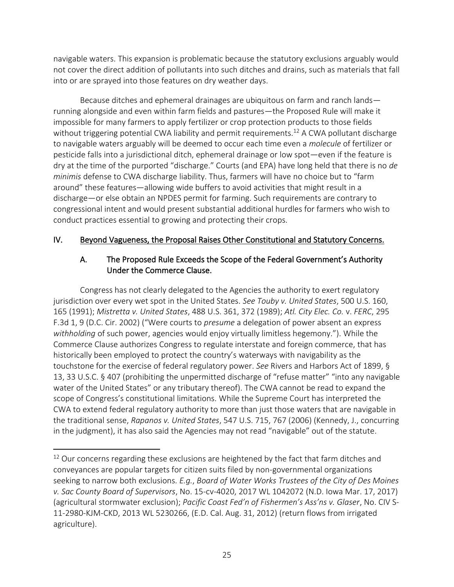navigable waters. This expansion is problematic because the statutory exclusions arguably would not cover the direct addition of pollutants into such ditches and drains, such as materials that fall into or are sprayed into those features on dry weather days.

Because ditches and ephemeral drainages are ubiquitous on farm and ranch lands running alongside and even within farm fields and pastures—the Proposed Rule will make it impossible for many farmers to apply fertilizer or crop protection products to those fields without triggering potential CWA liability and permit requirements.<sup>12</sup> A CWA pollutant discharge to navigable waters arguably will be deemed to occur each time even a *molecule* of fertilizer or pesticide falls into a jurisdictional ditch, ephemeral drainage or low spot—even if the feature is dry at the time of the purported "discharge." Courts (and EPA) have long held that there is no *de minimis* defense to CWA discharge liability. Thus, farmers will have no choice but to "farm around" these features—allowing wide buffers to avoid activities that might result in a discharge—or else obtain an NPDES permit for farming. Such requirements are contrary to congressional intent and would present substantial additional hurdles for farmers who wish to conduct practices essential to growing and protecting their crops.

## IV. Beyond Vagueness, the Proposal Raises Other Constitutional and Statutory Concerns.

## A. The Proposed Rule Exceeds the Scope of the Federal Government's Authority Under the Commerce Clause.

Congress has not clearly delegated to the Agencies the authority to exert regulatory jurisdiction over every wet spot in the United States. *See Touby v. United States*, 500 U.S. 160, 165 (1991); *Mistretta v. United States*, 488 U.S. 361, 372 (1989); *Atl. City Elec. Co.* v. *FERC*, 295 F.3d 1, 9 (D.C. Cir. 2002) ("Were courts to *presume* a delegation of power absent an express *withholding* of such power, agencies would enjoy virtually limitless hegemony."). While the Commerce Clause authorizes Congress to regulate interstate and foreign commerce, that has historically been employed to protect the country's waterways with navigability as the touchstone for the exercise of federal regulatory power. *See* Rivers and Harbors Act of 1899, § 13, 33 U.S.C. § 407 (prohibiting the unpermitted discharge of "refuse matter" "into any navigable water of the United States" or any tributary thereof). The CWA cannot be read to expand the scope of Congress's constitutional limitations. While the Supreme Court has interpreted the CWA to extend federal regulatory authority to more than just those waters that are navigable in the traditional sense, *Rapanos v. United States*, 547 U.S. 715, 767 (2006) (Kennedy, J., concurring in the judgment), it has also said the Agencies may not read "navigable" out of the statute.

 $12$  Our concerns regarding these exclusions are heightened by the fact that farm ditches and conveyances are popular targets for citizen suits filed by non-governmental organizations seeking to narrow both exclusions. *E.g.*, *Board of Water Works Trustees of the City of Des Moines v. Sac County Board of Supervisors*, No. 15-cv-4020, 2017 WL 1042072 (N.D. Iowa Mar. 17, 2017) (agricultural stormwater exclusion); *Pacific Coast Fed'n of Fishermen's Ass'ns v. Glaser*, No. CIV S-11-2980-KJM-CKD, 2013 WL 5230266, (E.D. Cal. Aug. 31, 2012) (return flows from irrigated agriculture).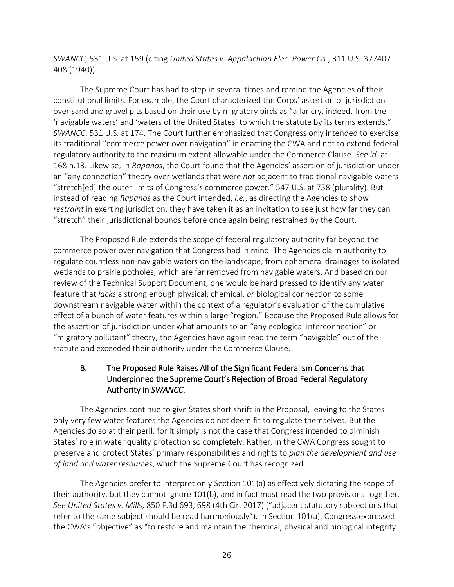*SWANCC*, 531 U.S. at 159 (citing *United States v. Appalachian Elec. Power Co.*, 311 U.S. 377407- 408 (1940)).

The Supreme Court has had to step in several times and remind the Agencies of their constitutional limits. For example, the Court characterized the Corps' assertion of jurisdiction over sand and gravel pits based on their use by migratory birds as "a far cry, indeed, from the 'navigable waters' and 'waters of the United States' to which the statute by its terms extends." *SWANCC*, 531 U.S. at 174. The Court further emphasized that Congress only intended to exercise its traditional "commerce power over navigation" in enacting the CWA and not to extend federal regulatory authority to the maximum extent allowable under the Commerce Clause. *See id.* at 168 n.13. Likewise, in *Rapanos*, the Court found that the Agencies' assertion of jurisdiction under an "any connection" theory over wetlands that were *not* adjacent to traditional navigable waters "stretch[ed] the outer limits of Congress's commerce power." 547 U.S. at 738 (plurality). But instead of reading *Rapanos* as the Court intended, *i.e.*, as directing the Agencies to show *restraint* in exerting jurisdiction, they have taken it as an invitation to see just how far they can "stretch" their jurisdictional bounds before once again being restrained by the Court.

The Proposed Rule extends the scope of federal regulatory authority far beyond the commerce power over navigation that Congress had in mind. The Agencies claim authority to regulate countless non-navigable waters on the landscape, from ephemeral drainages to isolated wetlands to prairie potholes, which are far removed from navigable waters. And based on our review of the Technical Support Document, one would be hard pressed to identify any water feature that *lacks* a strong enough physical, chemical, *or* biological connection to some downstream navigable water within the context of a regulator's evaluation of the cumulative effect of a bunch of water features within a large "region." Because the Proposed Rule allows for the assertion of jurisdiction under what amounts to an "any ecological interconnection" or "migratory pollutant" theory, the Agencies have again read the term "navigable" out of the statute and exceeded their authority under the Commerce Clause.

# B. The Proposed Rule Raises All of the Significant Federalism Concerns that Underpinned the Supreme Court's Rejection of Broad Federal Regulatory Authority in *SWANCC*.

The Agencies continue to give States short shrift in the Proposal, leaving to the States only very few water features the Agencies do not deem fit to regulate themselves. But the Agencies do so at their peril, for it simply is not the case that Congress intended to diminish States' role in water quality protection so completely. Rather, in the CWA Congress sought to preserve and protect States' primary responsibilities and rights to *plan the development and use of land and water resources*, which the Supreme Court has recognized.

The Agencies prefer to interpret only Section 101(a) as effectively dictating the scope of their authority, but they cannot ignore 101(b), and in fact must read the two provisions together. *See United States v. Mills*, 850 F.3d 693, 698 (4th Cir. 2017) ("adjacent statutory subsections that refer to the same subject should be read harmoniously"). In Section 101(a), Congress expressed the CWA's "objective" as "to restore and maintain the chemical, physical and biological integrity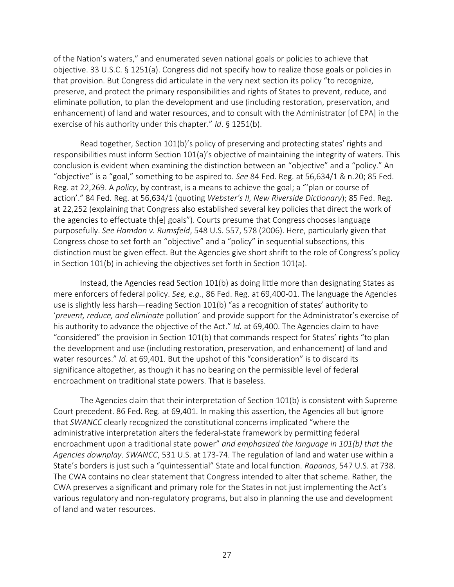of the Nation's waters," and enumerated seven national goals or policies to achieve that objective. 33 U.S.C. § 1251(a). Congress did not specify how to realize those goals or policies in that provision. But Congress did articulate in the very next section its policy "to recognize, preserve, and protect the primary responsibilities and rights of States to prevent, reduce, and eliminate pollution, to plan the development and use (including restoration, preservation, and enhancement) of land and water resources, and to consult with the Administrator [of EPA] in the exercise of his authority under this chapter." *Id*. § 1251(b).

Read together, Section 101(b)'s policy of preserving and protecting states' rights and responsibilities must inform Section 101(a)'s objective of maintaining the integrity of waters. This conclusion is evident when examining the distinction between an "objective" and a "policy." An "objective" is a "goal," something to be aspired to. *See* 84 Fed. Reg. at 56,634/1 & n.20; 85 Fed. Reg. at 22,269. A *policy*, by contrast, is a means to achieve the goal; a "'plan or course of action'." 84 Fed. Reg. at 56,634/1 (quoting *Webster's II, New Riverside Dictionary*); 85 Fed. Reg. at 22,252 (explaining that Congress also established several key policies that direct the work of the agencies to effectuate th[e] goals"). Courts presume that Congress chooses language purposefully. *See Hamdan v. Rumsfeld*, 548 U.S. 557, 578 (2006). Here, particularly given that Congress chose to set forth an "objective" and a "policy" in sequential subsections, this distinction must be given effect. But the Agencies give short shrift to the role of Congress's policy in Section 101(b) in achieving the objectives set forth in Section 101(a).

Instead, the Agencies read Section 101(b) as doing little more than designating States as mere enforcers of federal policy. *See, e.g.*, 86 Fed. Reg. at 69,400-01. The language the Agencies use is slightly less harsh—reading Section 101(b) "as a recognition of states' authority to '*prevent, reduce, and eliminate* pollution' and provide support for the Administrator's exercise of his authority to advance the objective of the Act." *Id.* at 69,400. The Agencies claim to have "considered" the provision in Section 101(b) that commands respect for States' rights "to plan the development and use (including restoration, preservation, and enhancement) of land and water resources." *Id.* at 69,401. But the upshot of this "consideration" is to discard its significance altogether, as though it has no bearing on the permissible level of federal encroachment on traditional state powers. That is baseless.

The Agencies claim that their interpretation of Section 101(b) is consistent with Supreme Court precedent. 86 Fed. Reg. at 69,401. In making this assertion, the Agencies all but ignore that *SWANCC* clearly recognized the constitutional concerns implicated "where the administrative interpretation alters the federal-state framework by permitting federal encroachment upon a traditional state power" *and emphasized the language in 101(b) that the Agencies downplay*. *SWANCC*, 531 U.S. at 173-74. The regulation of land and water use within a State's borders is just such a "quintessential" State and local function. *Rapanos*, 547 U.S. at 738. The CWA contains no clear statement that Congress intended to alter that scheme. Rather, the CWA preserves a significant and primary role for the States in not just implementing the Act's various regulatory and non-regulatory programs, but also in planning the use and development of land and water resources.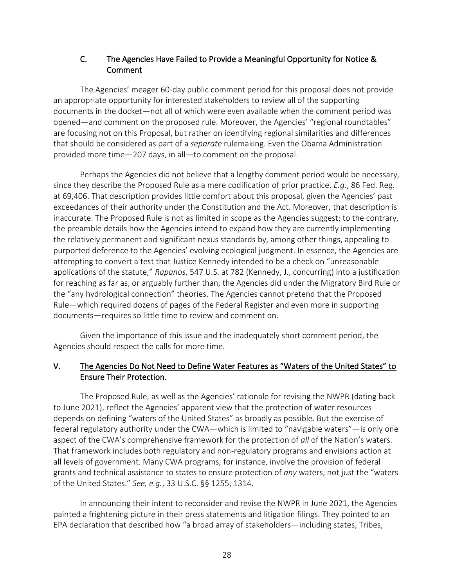## C. The Agencies Have Failed to Provide a Meaningful Opportunity for Notice & Comment

The Agencies' meager 60-day public comment period for this proposal does not provide an appropriate opportunity for interested stakeholders to review all of the supporting documents in the docket―not all of which were even available when the comment period was opened―and comment on the proposed rule. Moreover, the Agencies' "regional roundtables" are focusing not on this Proposal, but rather on identifying regional similarities and differences that should be considered as part of a *separate* rulemaking. Even the Obama Administration provided more time—207 days, in all—to comment on the proposal.

Perhaps the Agencies did not believe that a lengthy comment period would be necessary, since they describe the Proposed Rule as a mere codification of prior practice. *E.g.*, 86 Fed. Reg. at 69,406. That description provides little comfort about this proposal, given the Agencies' past exceedances of their authority under the Constitution and the Act. Moreover, that description is inaccurate. The Proposed Rule is not as limited in scope as the Agencies suggest; to the contrary, the preamble details how the Agencies intend to expand how they are currently implementing the relatively permanent and significant nexus standards by, among other things, appealing to purported deference to the Agencies' evolving ecological judgment. In essence, the Agencies are attempting to convert a test that Justice Kennedy intended to be a check on "unreasonable applications of the statute," *Rapanos*, 547 U.S. at 782 (Kennedy, J., concurring) into a justification for reaching as far as, or arguably further than, the Agencies did under the Migratory Bird Rule or the "any hydrological connection" theories. The Agencies cannot pretend that the Proposed Rule—which required dozens of pages of the Federal Register and even more in supporting documents—requires so little time to review and comment on.

Given the importance of this issue and the inadequately short comment period, the Agencies should respect the calls for more time.

# V. The Agencies Do Not Need to Define Water Features as "Waters of the United States" to Ensure Their Protection.

The Proposed Rule, as well as the Agencies' rationale for revising the NWPR (dating back to June 2021), reflect the Agencies' apparent view that the protection of water resources depends on defining "waters of the United States" as broadly as possible. But the exercise of federal regulatory authority under the CWA—which is limited to "navigable waters"—is only one aspect of the CWA's comprehensive framework for the protection of *all* of the Nation's waters. That framework includes both regulatory and non-regulatory programs and envisions action at all levels of government. Many CWA programs, for instance, involve the provision of federal grants and technical assistance to states to ensure protection of *any* waters, not just the "waters of the United States." *See, e.g.*, 33 U.S.C. §§ 1255, 1314.

In announcing their intent to reconsider and revise the NWPR in June 2021, the Agencies painted a frightening picture in their press statements and litigation filings. They pointed to an EPA declaration that described how "a broad array of stakeholders—including states, Tribes,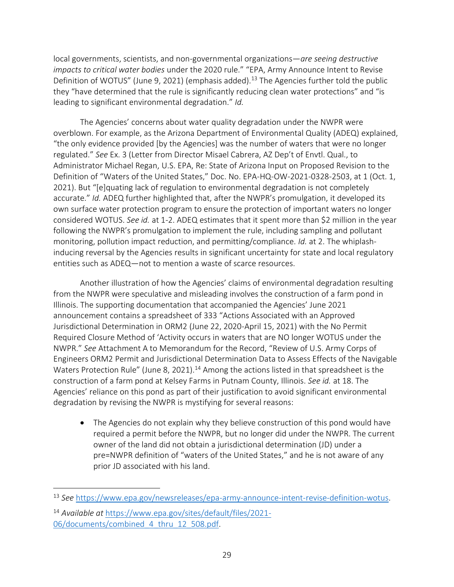local governments, scientists, and non-governmental organizations—*are seeing destructive impacts to critical water bodies* under the 2020 rule." "EPA, Army Announce Intent to Revise Definition of WOTUS" (June 9, 2021) (emphasis added).<sup>13</sup> The Agencies further told the public they "have determined that the rule is significantly reducing clean water protections" and "is leading to significant environmental degradation." *Id.*

The Agencies' concerns about water quality degradation under the NWPR were overblown. For example, as the Arizona Department of Environmental Quality (ADEQ) explained, "the only evidence provided [by the Agencies] was the number of waters that were no longer regulated." *See* Ex. 3 (Letter from Director Misael Cabrera, AZ Dep't of Envtl. Qual., to Administrator Michael Regan, U.S. EPA, Re: State of Arizona Input on Proposed Revision to the Definition of "Waters of the United States," Doc. No. EPA-HQ-OW-2021-0328-2503, at 1 (Oct. 1, 2021). But "[e]quating lack of regulation to environmental degradation is not completely accurate." *Id.* ADEQ further highlighted that, after the NWPR's promulgation, it developed its own surface water protection program to ensure the protection of important waters no longer considered WOTUS. *See id.* at 1-2. ADEQ estimates that it spent more than \$2 million in the year following the NWPR's promulgation to implement the rule, including sampling and pollutant monitoring, pollution impact reduction, and permitting/compliance. *Id.* at 2. The whiplashinducing reversal by the Agencies results in significant uncertainty for state and local regulatory entities such as ADEQ—not to mention a waste of scarce resources.

Another illustration of how the Agencies' claims of environmental degradation resulting from the NWPR were speculative and misleading involves the construction of a farm pond in Illinois. The supporting documentation that accompanied the Agencies' June 2021 announcement contains a spreadsheet of 333 "Actions Associated with an Approved Jurisdictional Determination in ORM2 (June 22, 2020-April 15, 2021) with the No Permit Required Closure Method of 'Activity occurs in waters that are NO longer WOTUS under the NWPR." *See* Attachment A to Memorandum for the Record, "Review of U.S. Army Corps of Engineers ORM2 Permit and Jurisdictional Determination Data to Assess Effects of the Navigable Waters Protection Rule" (June 8, 2021).<sup>14</sup> Among the actions listed in that spreadsheet is the construction of a farm pond at Kelsey Farms in Putnam County, Illinois. *See id.* at 18. The Agencies' reliance on this pond as part of their justification to avoid significant environmental degradation by revising the NWPR is mystifying for several reasons:

• The Agencies do not explain why they believe construction of this pond would have required a permit before the NWPR, but no longer did under the NWPR. The current owner of the land did not obtain a jurisdictional determination (JD) under a pre=NWPR definition of "waters of the United States," and he is not aware of any prior JD associated with his land.

<sup>13</sup> *See* [https://www.epa.gov/newsreleases/epa-army-announce-intent-revise-definition-wotus.](https://www.epa.gov/newsreleases/epa-army-announce-intent-revise-definition-wotus)

<sup>14</sup> *Available at* [https://www.epa.gov/sites/default/files/2021-](https://www.epa.gov/sites/default/files/2021-06/documents/combined_4_thru_12_508.pdf) [06/documents/combined\\_4\\_thru\\_12\\_508.pdf.](https://www.epa.gov/sites/default/files/2021-06/documents/combined_4_thru_12_508.pdf)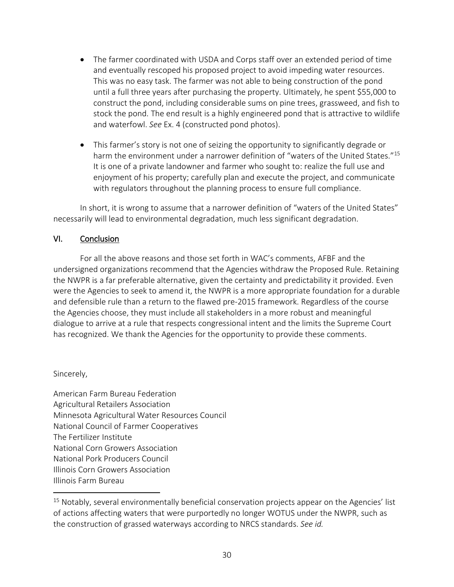- The farmer coordinated with USDA and Corps staff over an extended period of time and eventually rescoped his proposed project to avoid impeding water resources. This was no easy task. The farmer was not able to being construction of the pond until a full three years after purchasing the property. Ultimately, he spent \$55,000 to construct the pond, including considerable sums on pine trees, grassweed, and fish to stock the pond. The end result is a highly engineered pond that is attractive to wildlife and waterfowl. *See* Ex. 4 (constructed pond photos).
- This farmer's story is not one of seizing the opportunity to significantly degrade or harm the environment under a narrower definition of "waters of the United States."<sup>15</sup> It is one of a private landowner and farmer who sought to: realize the full use and enjoyment of his property; carefully plan and execute the project, and communicate with regulators throughout the planning process to ensure full compliance.

In short, it is wrong to assume that a narrower definition of "waters of the United States" necessarily will lead to environmental degradation, much less significant degradation.

## VI. Conclusion

For all the above reasons and those set forth in WAC's comments, AFBF and the undersigned organizations recommend that the Agencies withdraw the Proposed Rule. Retaining the NWPR is a far preferable alternative, given the certainty and predictability it provided. Even were the Agencies to seek to amend it, the NWPR is a more appropriate foundation for a durable and defensible rule than a return to the flawed pre-2015 framework. Regardless of the course the Agencies choose, they must include all stakeholders in a more robust and meaningful dialogue to arrive at a rule that respects congressional intent and the limits the Supreme Court has recognized. We thank the Agencies for the opportunity to provide these comments.

### Sincerely,

American Farm Bureau Federation Agricultural Retailers Association Minnesota Agricultural Water Resources Council National Council of Farmer Cooperatives The Fertilizer Institute National Corn Growers Association National Pork Producers Council Illinois Corn Growers Association Illinois Farm Bureau

 $15$  Notably, several environmentally beneficial conservation projects appear on the Agencies' list of actions affecting waters that were purportedly no longer WOTUS under the NWPR, such as the construction of grassed waterways according to NRCS standards. *See id.*